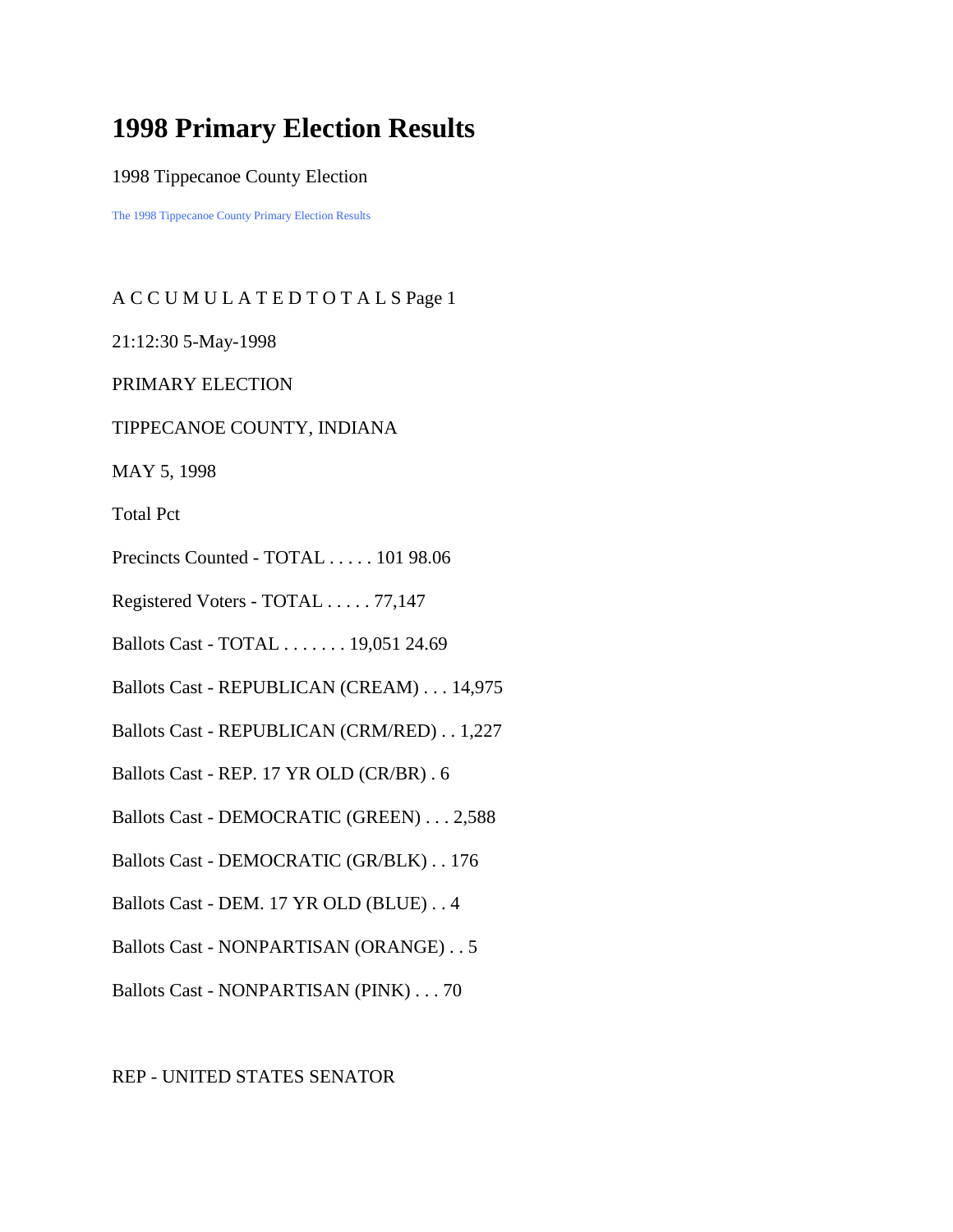# **1998 Primary Election Results**

1998 Tippecanoe County Election

The 1998 Tippecanoe County Primary Election Results

# A C C U M U L A T E D T O T A L S Page 1

21:12:30 5-May-1998

PRIMARY ELECTION

#### TIPPECANOE COUNTY, INDIANA

MAY 5, 1998

Total Pct

- Precincts Counted TOTAL . . . . . 101 98.06
- Registered Voters TOTAL . . . . . 77,147
- Ballots Cast TOTAL . . . . . . . 19,051 24.69
- Ballots Cast REPUBLICAN (CREAM) . . . 14,975
- Ballots Cast REPUBLICAN (CRM/RED) . . 1,227
- Ballots Cast REP. 17 YR OLD (CR/BR) . 6
- Ballots Cast DEMOCRATIC (GREEN) . . . 2,588
- Ballots Cast DEMOCRATIC (GR/BLK) . . 176
- Ballots Cast DEM. 17 YR OLD (BLUE) . . 4
- Ballots Cast NONPARTISAN (ORANGE) . . 5
- Ballots Cast NONPARTISAN (PINK) . . . 70

#### REP - UNITED STATES SENATOR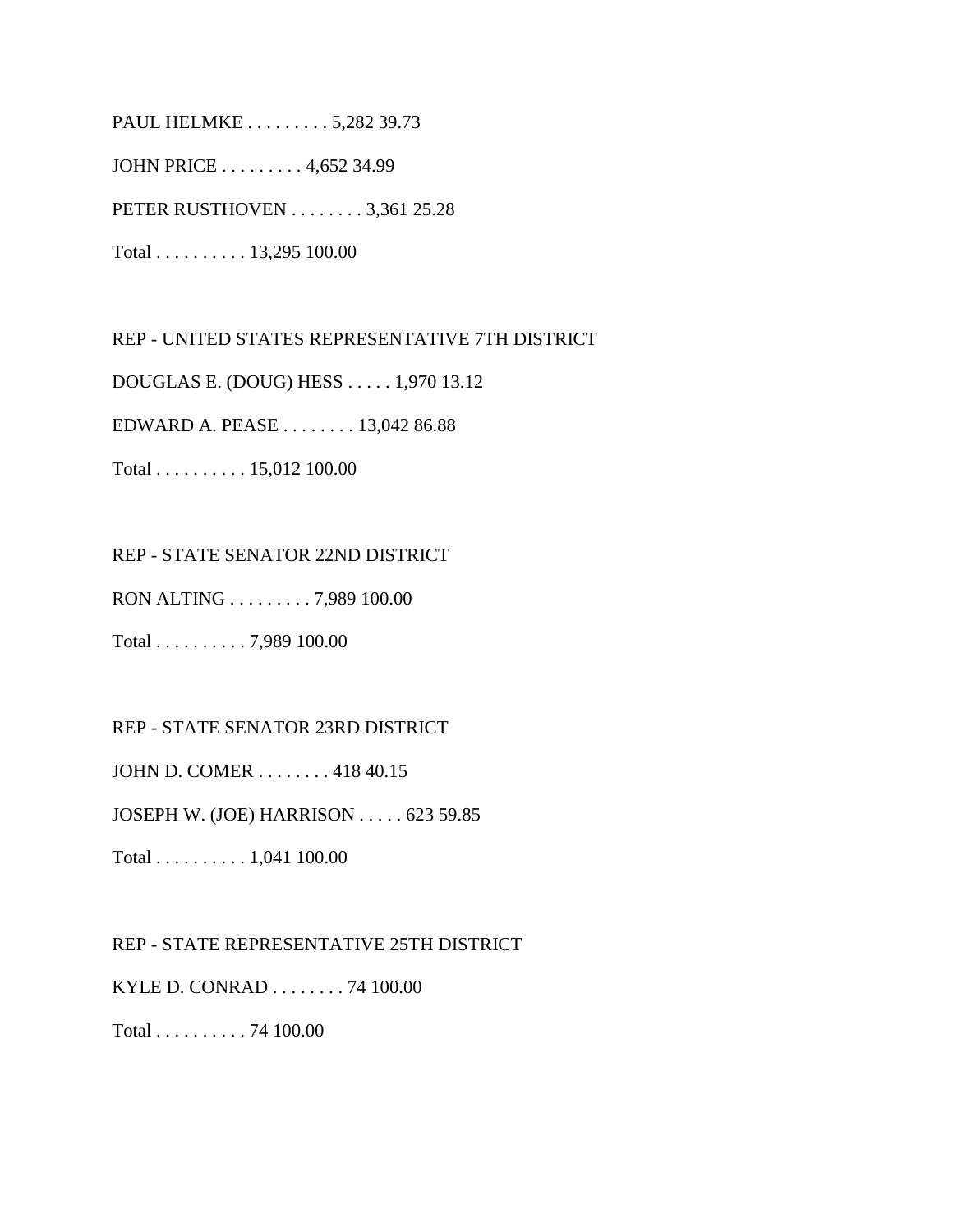PAUL HELMKE . . . . . . . . . 5,282 39.73 JOHN PRICE . . . . . . . . . 4,652 34.99 PETER RUSTHOVEN . . . . . . . . 3,361 25.28 Total . . . . . . . . . . 13,295 100.00

REP - UNITED STATES REPRESENTATIVE 7TH DISTRICT DOUGLAS E. (DOUG) HESS . . . . . 1,970 13.12 EDWARD A. PEASE . . . . . . . . 13,042 86.88 Total . . . . . . . . . . 15,012 100.00

REP - STATE SENATOR 22ND DISTRICT

RON ALTING . . . . . . . . . 7,989 100.00

Total . . . . . . . . . . 7,989 100.00

REP - STATE SENATOR 23RD DISTRICT

JOHN D. COMER . . . . . . . . 418 40.15

JOSEPH W. (JOE) HARRISON . . . . . 623 59.85

Total . . . . . . . . . . 1,041 100.00

REP - STATE REPRESENTATIVE 25TH DISTRICT

KYLE D. CONRAD . . . . . . . . 74 100.00

Total . . . . . . . . . . 74 100.00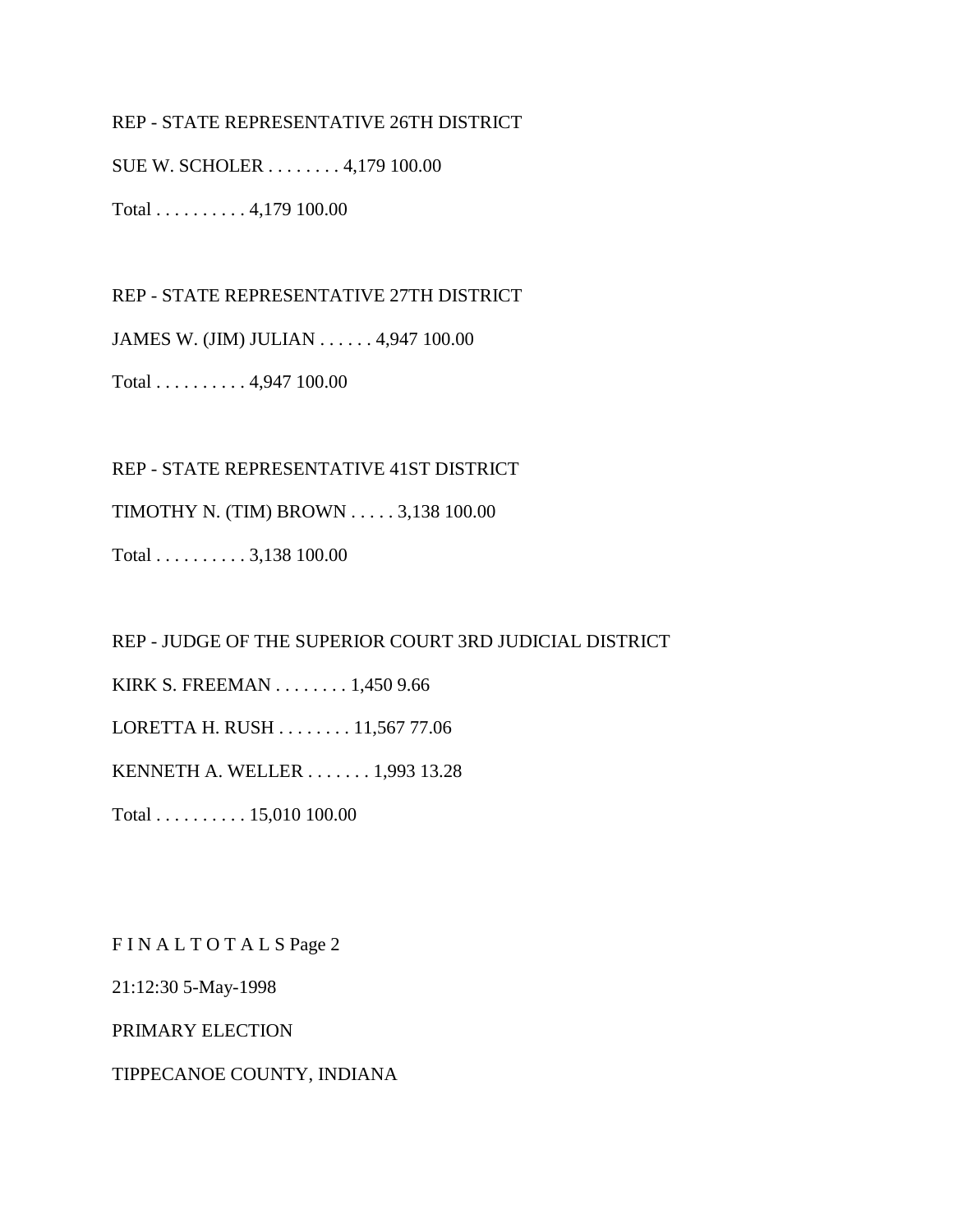### REP - STATE REPRESENTATIVE 26TH DISTRICT

SUE W. SCHOLER . . . . . . . . 4,179 100.00

Total . . . . . . . . . . 4,179 100.00

REP - STATE REPRESENTATIVE 27TH DISTRICT

JAMES W. (JIM) JULIAN . . . . . . 4,947 100.00

Total . . . . . . . . . . 4,947 100.00

REP - STATE REPRESENTATIVE 41ST DISTRICT

TIMOTHY N. (TIM) BROWN . . . . . 3,138 100.00

Total . . . . . . . . . . 3,138 100.00

REP - JUDGE OF THE SUPERIOR COURT 3RD JUDICIAL DISTRICT

KIRK S. FREEMAN . . . . . . . . 1,450 9.66

LORETTA H. RUSH . . . . . . . . 11,567 77.06

KENNETH A. WELLER . . . . . . . 1,993 13.28

Total . . . . . . . . . . 15,010 100.00

F I N A L T O T A L S Page 2

21:12:30 5-May-1998

PRIMARY ELECTION

TIPPECANOE COUNTY, INDIANA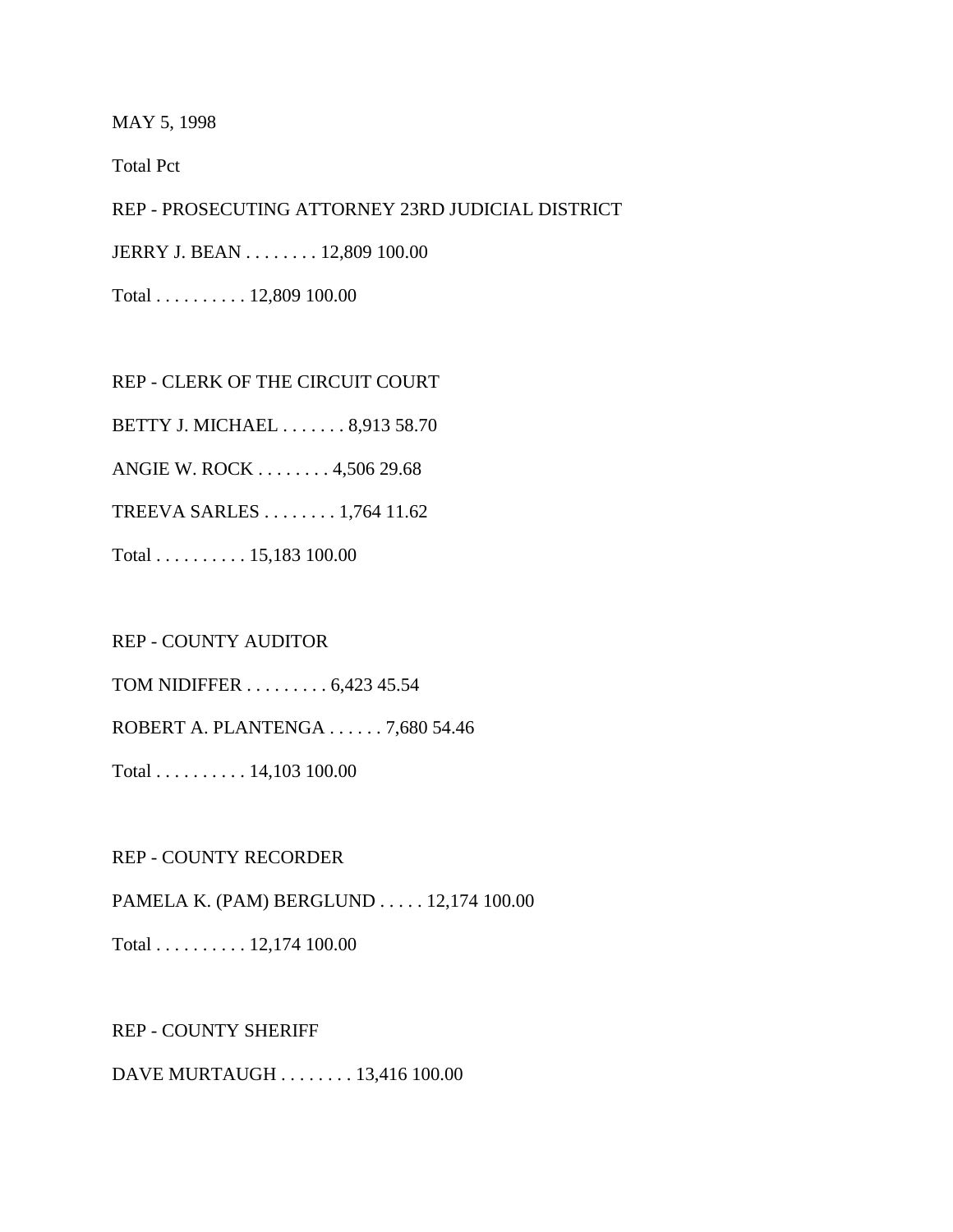MAY 5, 1998

Total Pct

REP - PROSECUTING ATTORNEY 23RD JUDICIAL DISTRICT

JERRY J. BEAN . . . . . . . . 12,809 100.00

Total . . . . . . . . . . 12,809 100.00

REP - CLERK OF THE CIRCUIT COURT

BETTY J. MICHAEL . . . . . . . 8,913 58.70

ANGIE W. ROCK . . . . . . . . 4,506 29.68

TREEVA SARLES . . . . . . . . 1,764 11.62

Total . . . . . . . . . . 15,183 100.00

REP - COUNTY AUDITOR

TOM NIDIFFER . . . . . . . . . 6,423 45.54

ROBERT A. PLANTENGA . . . . . . 7,680 54.46

Total . . . . . . . . . . 14,103 100.00

REP - COUNTY RECORDER

PAMELA K. (PAM) BERGLUND . . . . . 12,174 100.00

Total . . . . . . . . . . 12,174 100.00

REP - COUNTY SHERIFF

DAVE MURTAUGH . . . . . . . . 13,416 100.00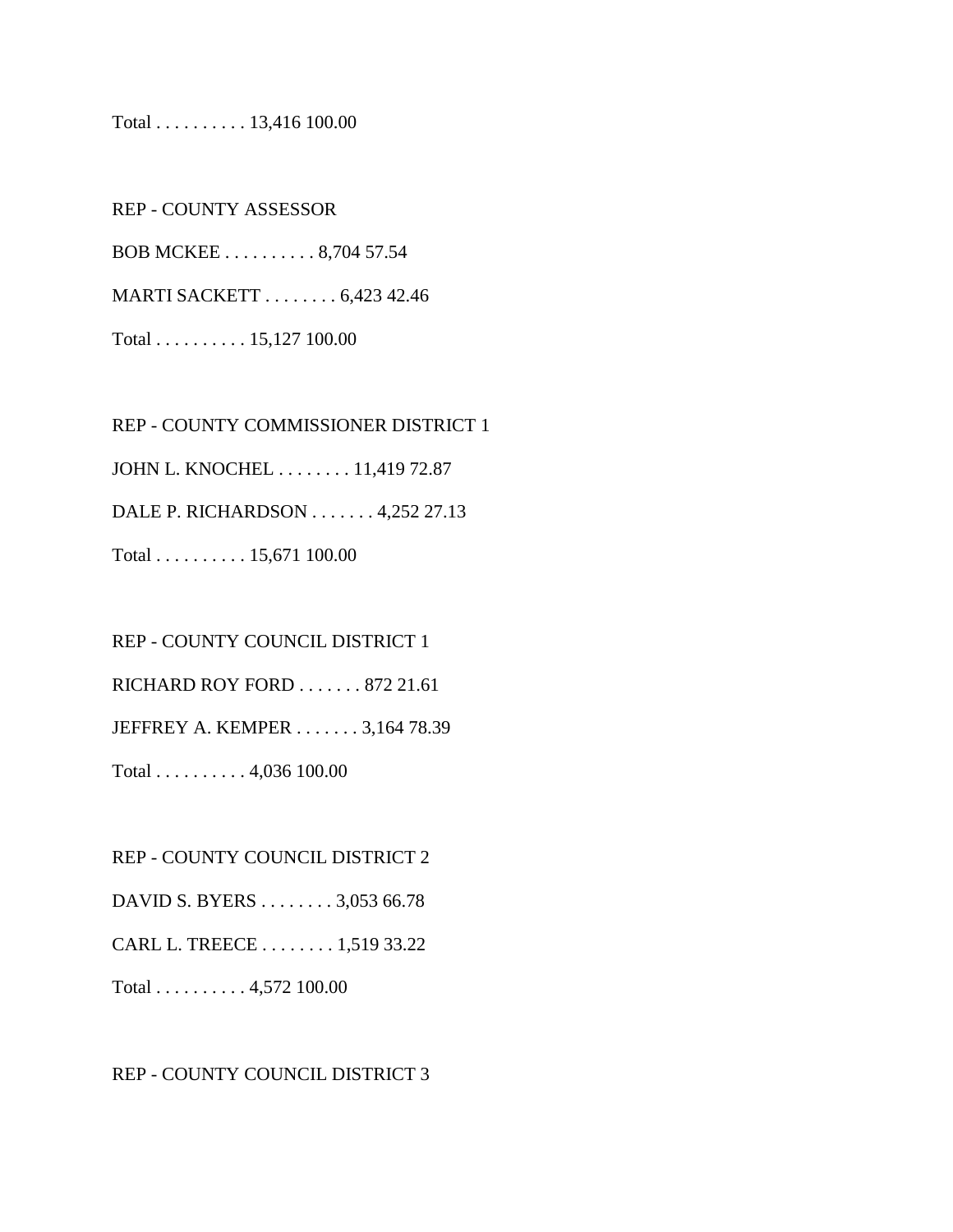#### Total . . . . . . . . . . 13,416 100.00

REP - COUNTY ASSESSOR BOB MCKEE . . . . . . . . . . 8,704 57.54 MARTI SACKETT . . . . . . . . 6,423 42.46 Total . . . . . . . . . . 15,127 100.00

REP - COUNTY COMMISSIONER DISTRICT 1 JOHN L. KNOCHEL . . . . . . . . 11,419 72.87 DALE P. RICHARDSON . . . . . . . 4,252 27.13 Total . . . . . . . . . . 15,671 100.00

REP - COUNTY COUNCIL DISTRICT 1 RICHARD ROY FORD . . . . . . . 872 21.61 JEFFREY A. KEMPER . . . . . . . 3,164 78.39 Total . . . . . . . . . . 4,036 100.00

REP - COUNTY COUNCIL DISTRICT 2

DAVID S. BYERS . . . . . . . . 3,053 66.78

CARL L. TREECE . . . . . . . . 1,519 33.22

Total . . . . . . . . . . 4,572 100.00

#### REP - COUNTY COUNCIL DISTRICT 3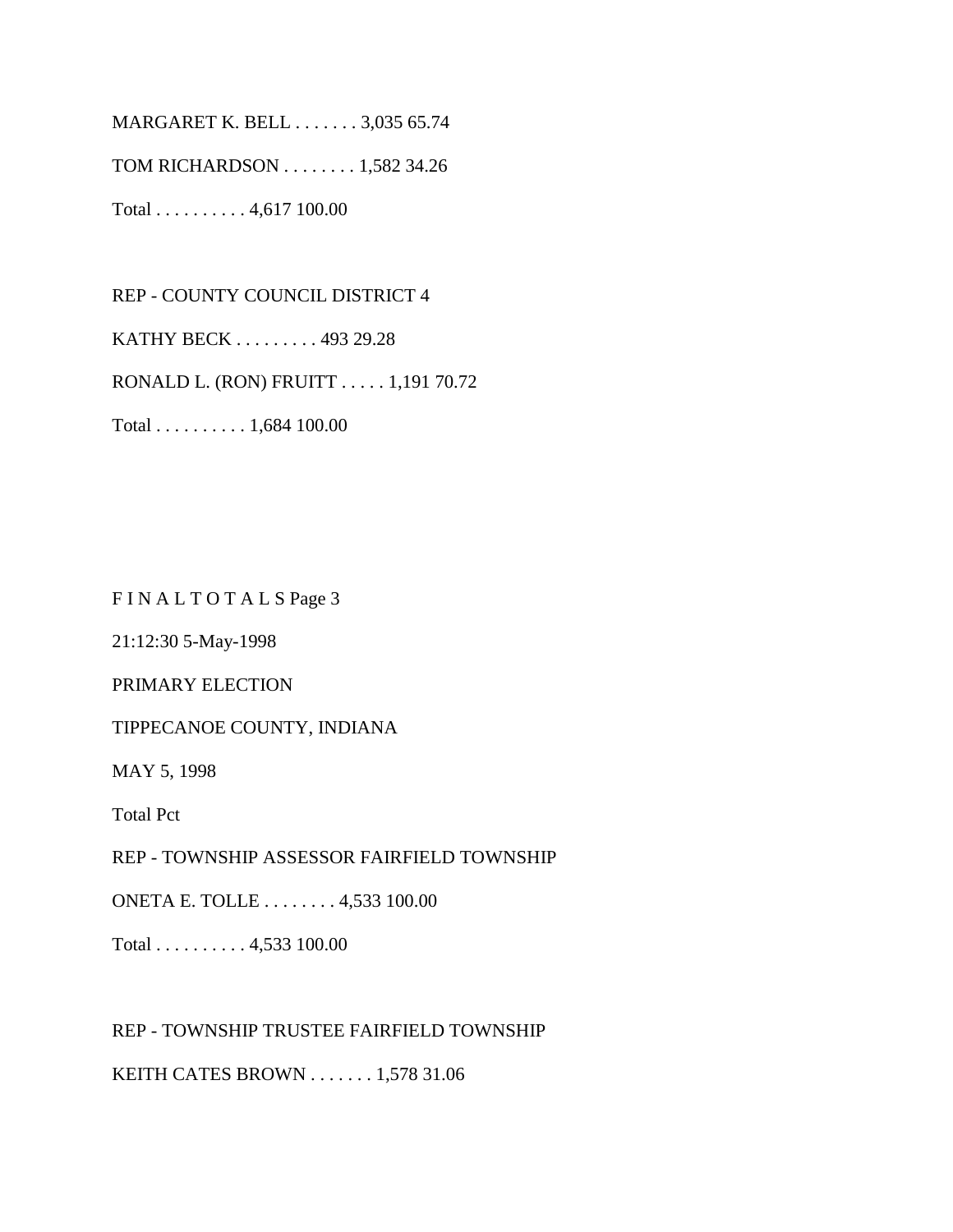MARGARET K. BELL . . . . . . . 3,035 65.74

TOM RICHARDSON . . . . . . . . 1,582 34.26

Total . . . . . . . . . . 4,617 100.00

REP - COUNTY COUNCIL DISTRICT 4 KATHY BECK . . . . . . . . . 493 29.28 RONALD L. (RON) FRUITT . . . . . 1,191 70.72 Total . . . . . . . . . . 1,684 100.00

FIN ALTOTALS Page 3

21:12:30 5-May-1998

PRIMARY ELECTION

TIPPECANOE COUNTY, INDIANA

MAY 5, 1998

Total Pct

REP - TOWNSHIP ASSESSOR FAIRFIELD TOWNSHIP

ONETA E. TOLLE . . . . . . . . 4,533 100.00

Total . . . . . . . . . . 4,533 100.00

REP - TOWNSHIP TRUSTEE FAIRFIELD TOWNSHIP

KEITH CATES BROWN . . . . . . . 1,578 31.06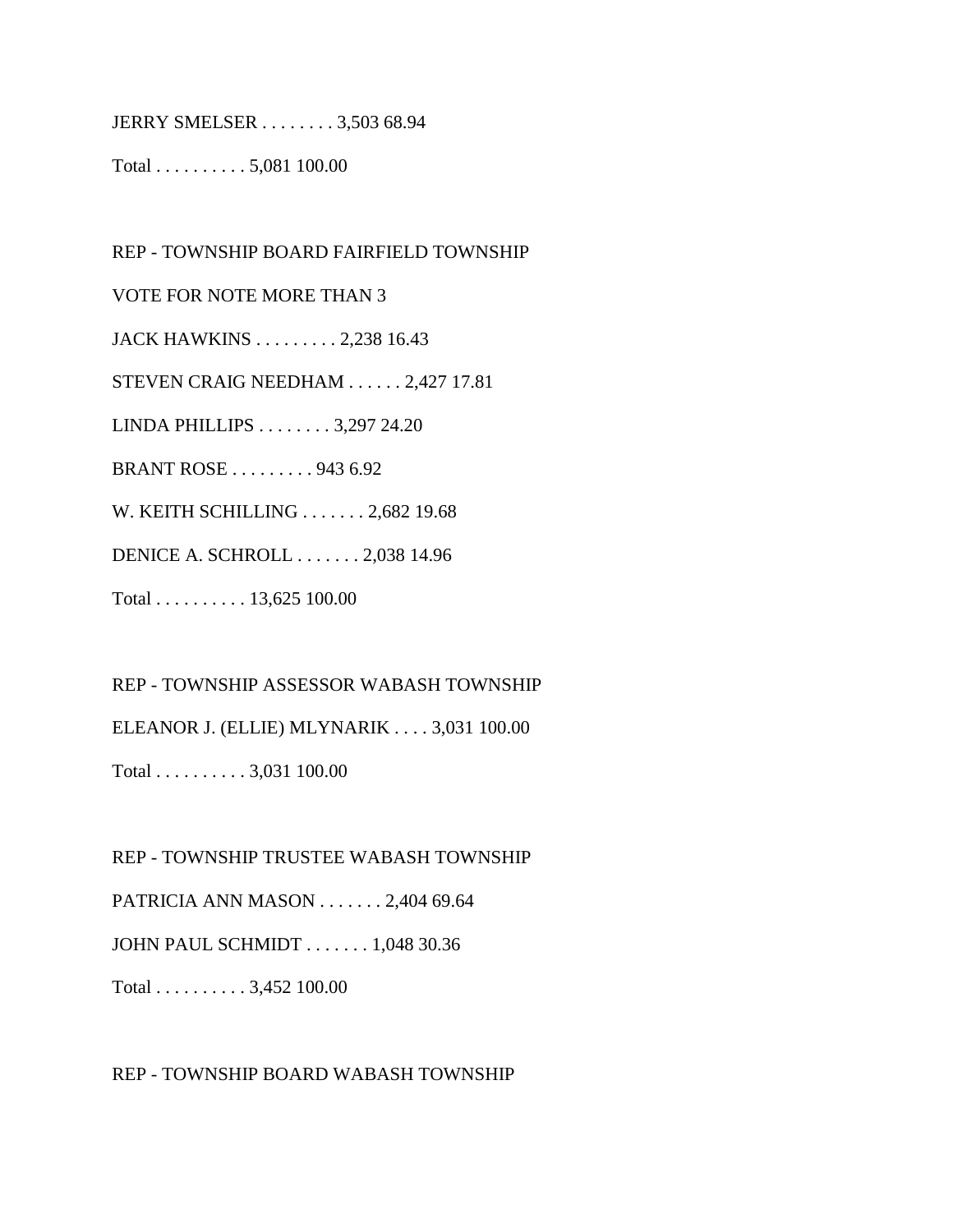JERRY SMELSER . . . . . . . . 3,503 68.94

Total . . . . . . . . . . 5,081 100.00

REP - TOWNSHIP BOARD FAIRFIELD TOWNSHIP VOTE FOR NOTE MORE THAN 3 JACK HAWKINS . . . . . . . . . 2,238 16.43 STEVEN CRAIG NEEDHAM . . . . . . 2,427 17.81 LINDA PHILLIPS . . . . . . . . 3,297 24.20 BRANT ROSE . . . . . . . . . 943 6.92 W. KEITH SCHILLING . . . . . . . 2,682 19.68 DENICE A. SCHROLL . . . . . . . 2,038 14.96 Total . . . . . . . . . . 13,625 100.00

REP - TOWNSHIP ASSESSOR WABASH TOWNSHIP ELEANOR J. (ELLIE) MLYNARIK . . . . 3,031 100.00

Total . . . . . . . . . . 3,031 100.00

REP - TOWNSHIP TRUSTEE WABASH TOWNSHIP

PATRICIA ANN MASON . . . . . . . 2,404 69.64

JOHN PAUL SCHMIDT . . . . . . . 1,048 30.36

Total . . . . . . . . . . 3,452 100.00

REP - TOWNSHIP BOARD WABASH TOWNSHIP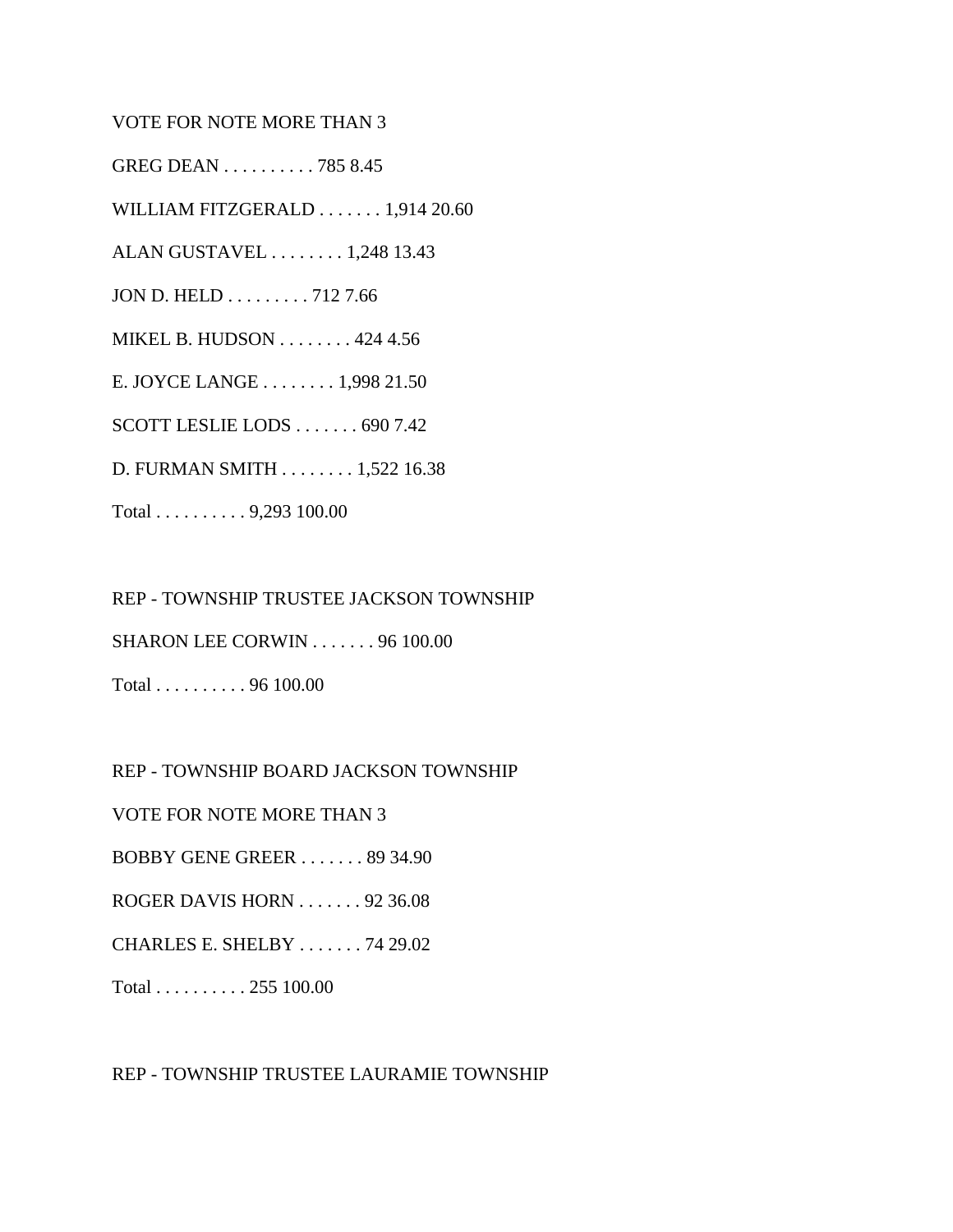#### VOTE FOR NOTE MORE THAN 3

GREG DEAN . . . . . . . . . . 785 8.45

WILLIAM FITZGERALD . . . . . . . 1,914 20.60

ALAN GUSTAVEL . . . . . . . . 1,248 13.43

JON D. HELD . . . . . . . . . 712 7.66

MIKEL B. HUDSON . . . . . . . . 424 4.56

E. JOYCE LANGE . . . . . . . . 1,998 21.50

SCOTT LESLIE LODS . . . . . . . 690 7.42

D. FURMAN SMITH . . . . . . . . 1,522 16.38

Total . . . . . . . . . . 9,293 100.00

REP - TOWNSHIP TRUSTEE JACKSON TOWNSHIP SHARON LEE CORWIN . . . . . . . 96 100.00 Total . . . . . . . . . . 96 100.00

REP - TOWNSHIP BOARD JACKSON TOWNSHIP

VOTE FOR NOTE MORE THAN 3

BOBBY GENE GREER . . . . . . . 89 34.90

ROGER DAVIS HORN . . . . . . . 92 36.08

CHARLES E. SHELBY . . . . . . . 74 29.02

Total . . . . . . . . . . 255 100.00

REP - TOWNSHIP TRUSTEE LAURAMIE TOWNSHIP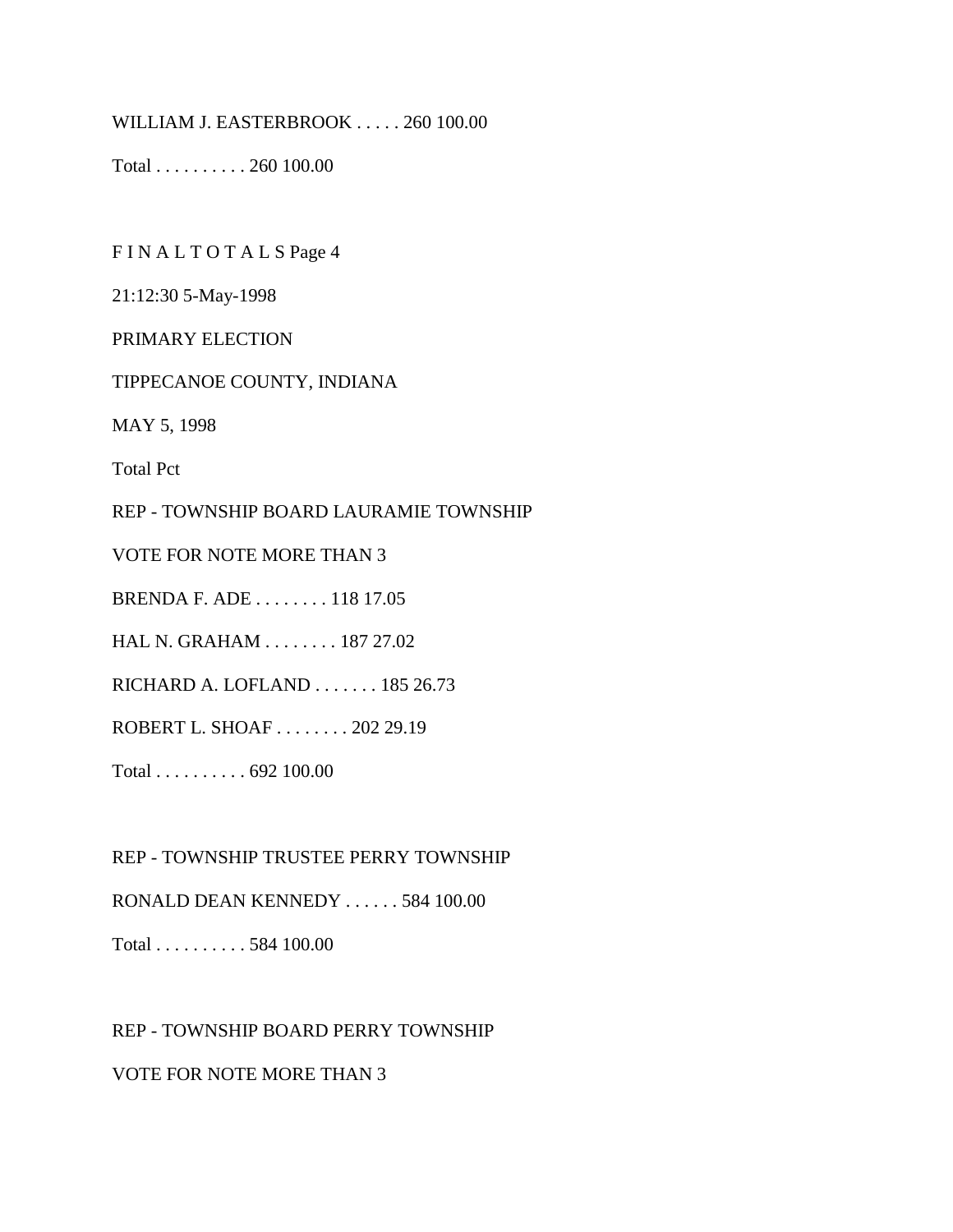WILLIAM J. EASTERBROOK . . . . . 260 100.00

Total . . . . . . . . . . 260 100.00

F I N A L T O T A L S Page 4

21:12:30 5-May-1998

PRIMARY ELECTION

TIPPECANOE COUNTY, INDIANA

MAY 5, 1998

Total Pct

REP - TOWNSHIP BOARD LAURAMIE TOWNSHIP

VOTE FOR NOTE MORE THAN 3

BRENDA F. ADE . . . . . . . . 118 17.05

HAL N. GRAHAM . . . . . . . . 187 27.02

RICHARD A. LOFLAND . . . . . . . 185 26.73

ROBERT L. SHOAF . . . . . . . . 202 29.19

Total . . . . . . . . . . 692 100.00

REP - TOWNSHIP TRUSTEE PERRY TOWNSHIP

RONALD DEAN KENNEDY . . . . . . 584 100.00

Total . . . . . . . . . . 584 100.00

REP - TOWNSHIP BOARD PERRY TOWNSHIP

VOTE FOR NOTE MORE THAN 3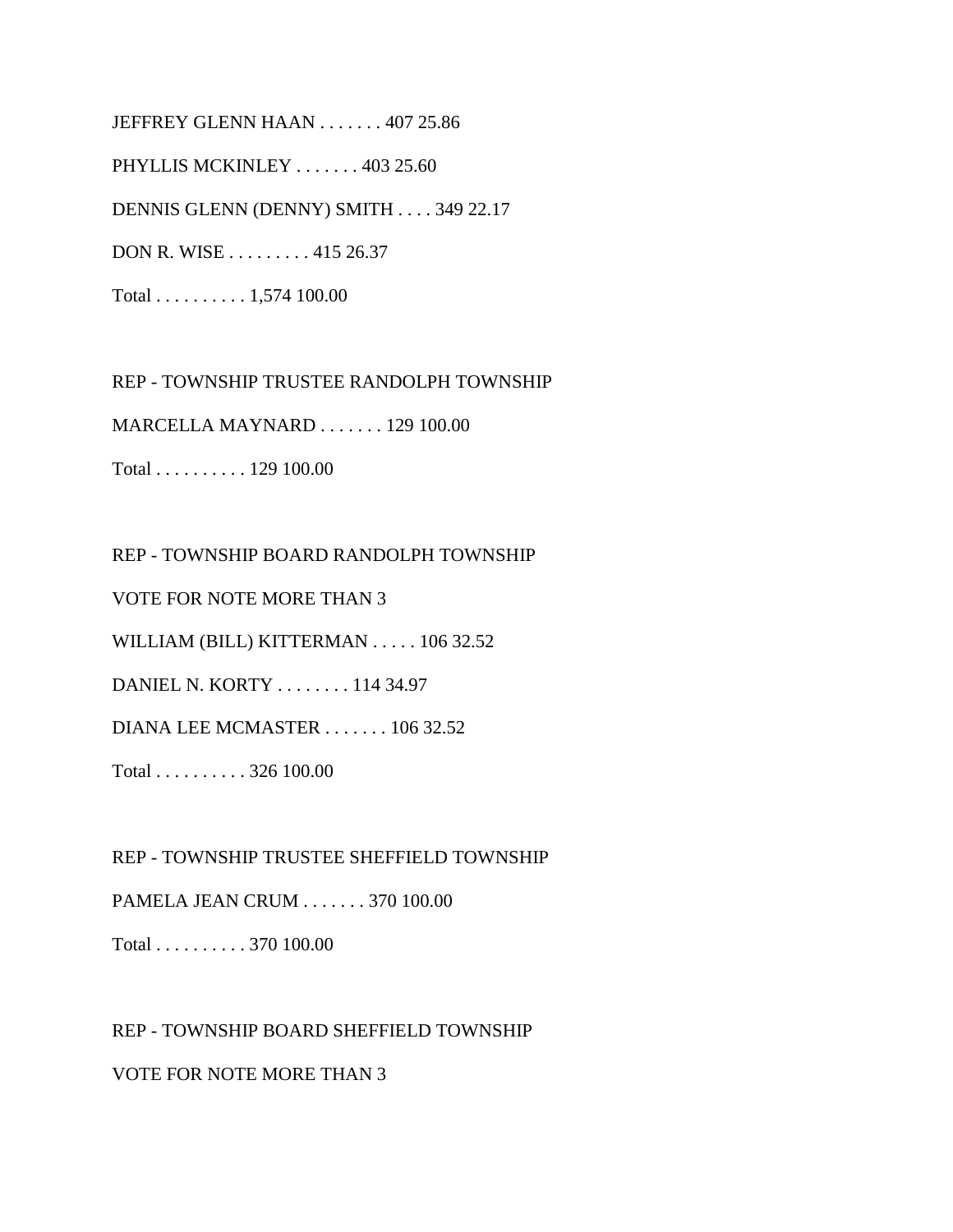JEFFREY GLENN HAAN . . . . . . . 407 25.86 PHYLLIS MCKINLEY . . . . . . . 403 25.60 DENNIS GLENN (DENNY) SMITH . . . . 349 22.17 DON R. WISE . . . . . . . . . 415 26.37 Total . . . . . . . . . . 1,574 100.00

REP - TOWNSHIP TRUSTEE RANDOLPH TOWNSHIP

MARCELLA MAYNARD . . . . . . . 129 100.00

Total . . . . . . . . . . 129 100.00

REP - TOWNSHIP BOARD RANDOLPH TOWNSHIP

VOTE FOR NOTE MORE THAN 3

WILLIAM (BILL) KITTERMAN . . . . . 106 32.52

DANIEL N. KORTY . . . . . . . . 114 34.97

DIANA LEE MCMASTER . . . . . . . 106 32.52

Total . . . . . . . . . . 326 100.00

REP - TOWNSHIP TRUSTEE SHEFFIELD TOWNSHIP

PAMELA JEAN CRUM . . . . . . . 370 100.00

Total . . . . . . . . . . 370 100.00

REP - TOWNSHIP BOARD SHEFFIELD TOWNSHIP

VOTE FOR NOTE MORE THAN 3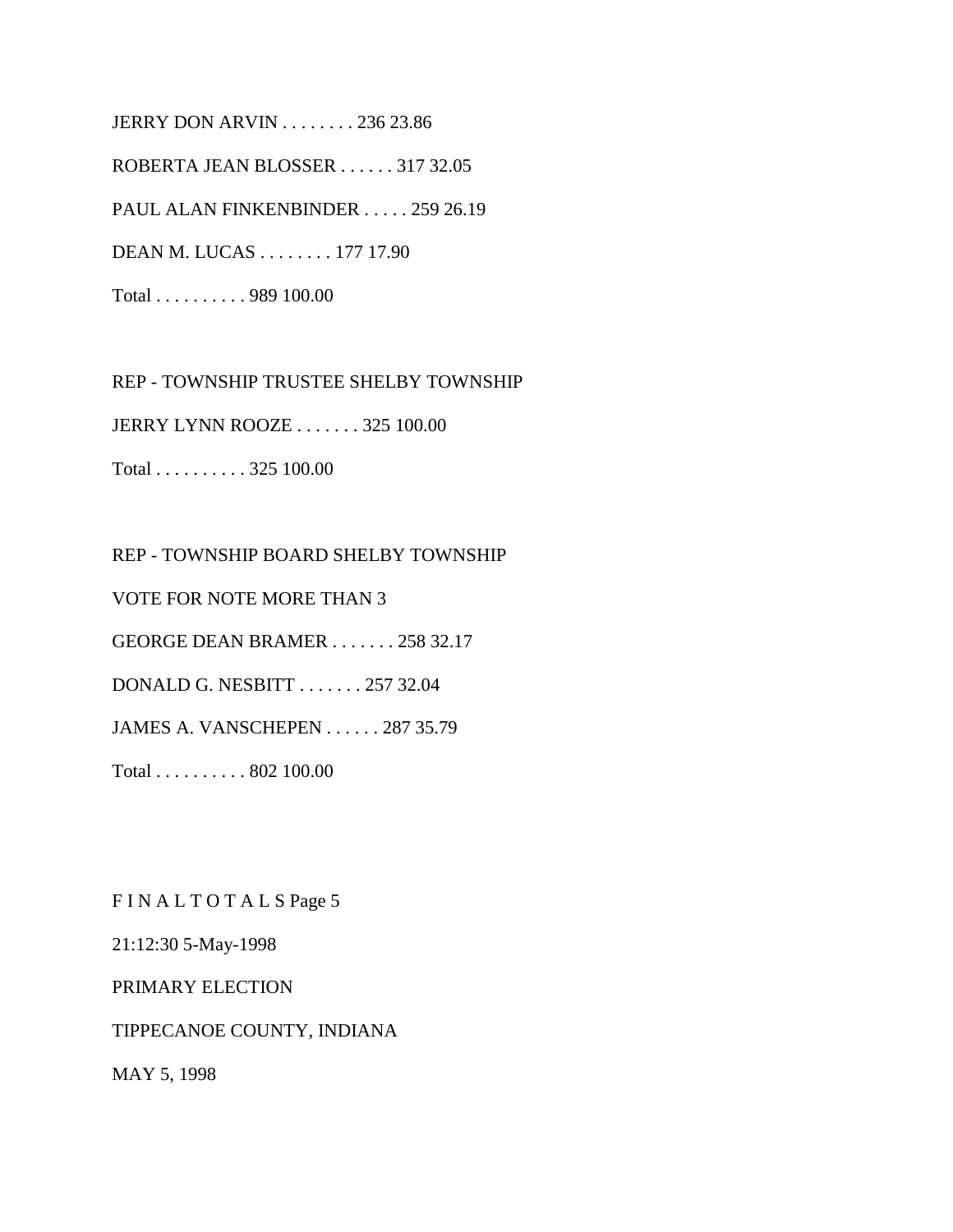JERRY DON ARVIN . . . . . . . . 236 23.86 ROBERTA JEAN BLOSSER . . . . . . 317 32.05 PAUL ALAN FINKENBINDER . . . . . 259 26.19 DEAN M. LUCAS . . . . . . . . 177 17.90 Total . . . . . . . . . . 989 100.00

REP - TOWNSHIP TRUSTEE SHELBY TOWNSHIP JERRY LYNN ROOZE . . . . . . . 325 100.00 Total . . . . . . . . . . 325 100.00

REP - TOWNSHIP BOARD SHELBY TOWNSHIP VOTE FOR NOTE MORE THAN 3 GEORGE DEAN BRAMER . . . . . . . 258 32.17 DONALD G. NESBITT . . . . . . . 257 32.04 JAMES A. VANSCHEPEN . . . . . . 287 35.79 Total . . . . . . . . . . 802 100.00

F I N A L T O T A L S Page 5

21:12:30 5-May-1998

PRIMARY ELECTION

TIPPECANOE COUNTY, INDIANA

MAY 5, 1998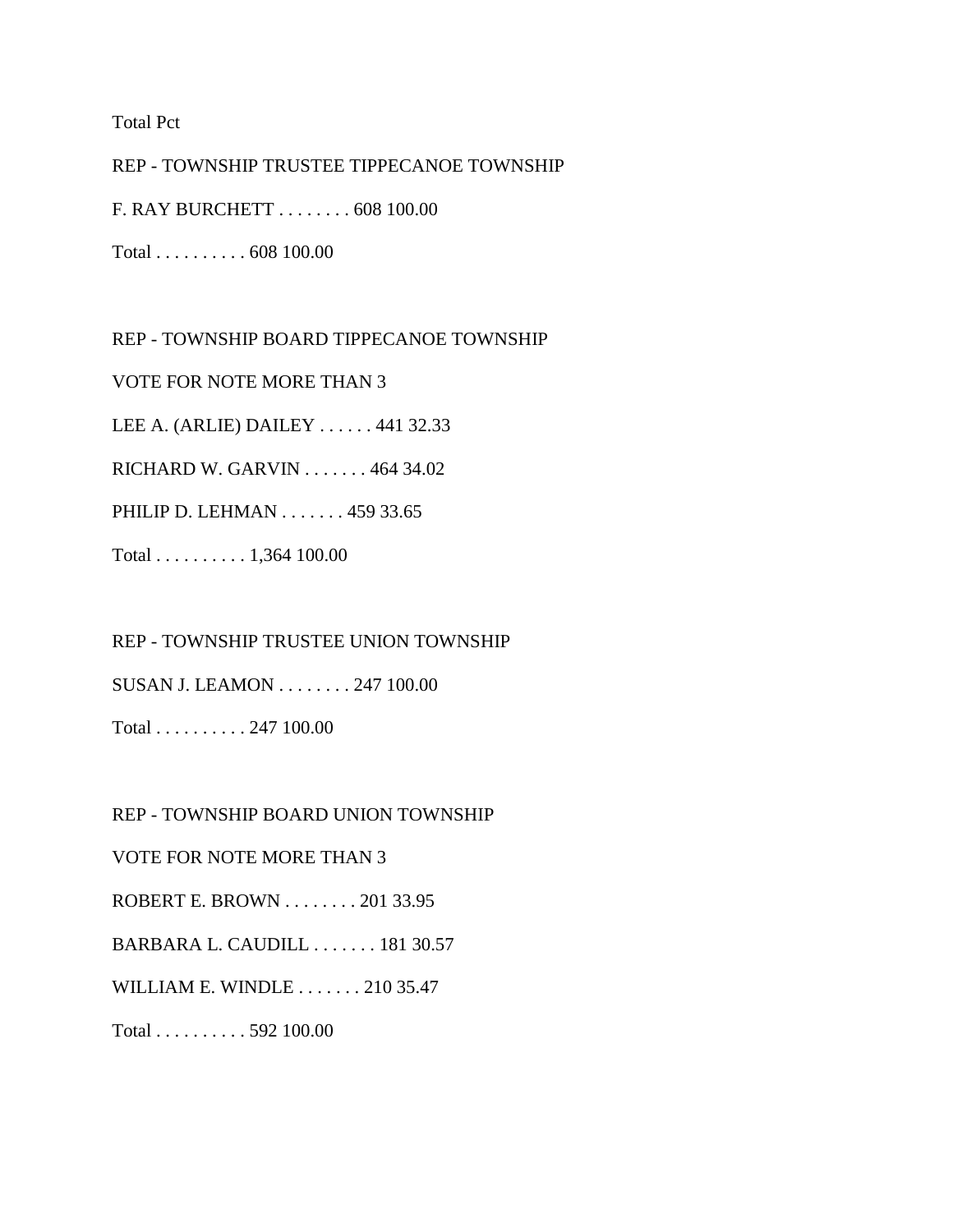Total Pct

REP - TOWNSHIP TRUSTEE TIPPECANOE TOWNSHIP F. RAY BURCHETT . . . . . . . . 608 100.00

Total . . . . . . . . . . 608 100.00

REP - TOWNSHIP BOARD TIPPECANOE TOWNSHIP

VOTE FOR NOTE MORE THAN 3

LEE A. (ARLIE) DAILEY . . . . . . 441 32.33

RICHARD W. GARVIN . . . . . . . 464 34.02

PHILIP D. LEHMAN . . . . . . . 459 33.65

Total . . . . . . . . . . 1,364 100.00

REP - TOWNSHIP TRUSTEE UNION TOWNSHIP

SUSAN J. LEAMON . . . . . . . . 247 100.00

Total . . . . . . . . . . 247 100.00

REP - TOWNSHIP BOARD UNION TOWNSHIP

VOTE FOR NOTE MORE THAN 3

ROBERT E. BROWN . . . . . . . . 201 33.95

BARBARA L. CAUDILL . . . . . . . 181 30.57

WILLIAM E. WINDLE . . . . . . . 210 35.47

Total . . . . . . . . . . 592 100.00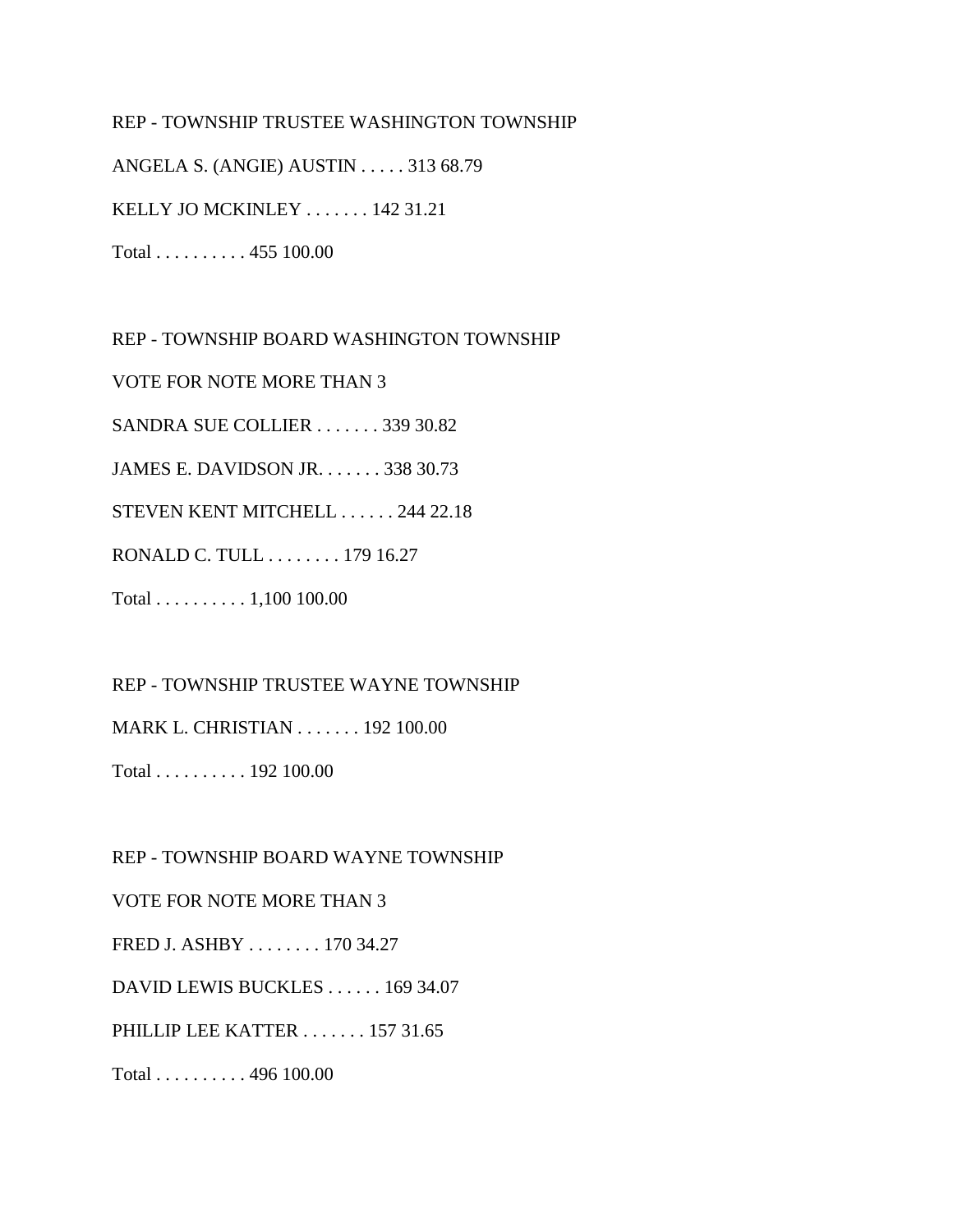### REP - TOWNSHIP TRUSTEE WASHINGTON TOWNSHIP

ANGELA S. (ANGIE) AUSTIN . . . . . 313 68.79

KELLY JO MCKINLEY . . . . . . . 142 31.21

Total . . . . . . . . . . 455 100.00

REP - TOWNSHIP BOARD WASHINGTON TOWNSHIP

VOTE FOR NOTE MORE THAN 3

SANDRA SUE COLLIER . . . . . . . 339 30.82

JAMES E. DAVIDSON JR. . . . . . . 338 30.73

STEVEN KENT MITCHELL . . . . . . 244 22.18

RONALD C. TULL . . . . . . . . 179 16.27

Total . . . . . . . . . . 1,100 100.00

REP - TOWNSHIP TRUSTEE WAYNE TOWNSHIP

MARK L. CHRISTIAN . . . . . . . 192 100.00

Total . . . . . . . . . . 192 100.00

REP - TOWNSHIP BOARD WAYNE TOWNSHIP

VOTE FOR NOTE MORE THAN 3

FRED J. ASHBY . . . . . . . . 170 34.27

DAVID LEWIS BUCKLES . . . . . . 169 34.07

PHILLIP LEE KATTER . . . . . . . 157 31.65

Total . . . . . . . . . . 496 100.00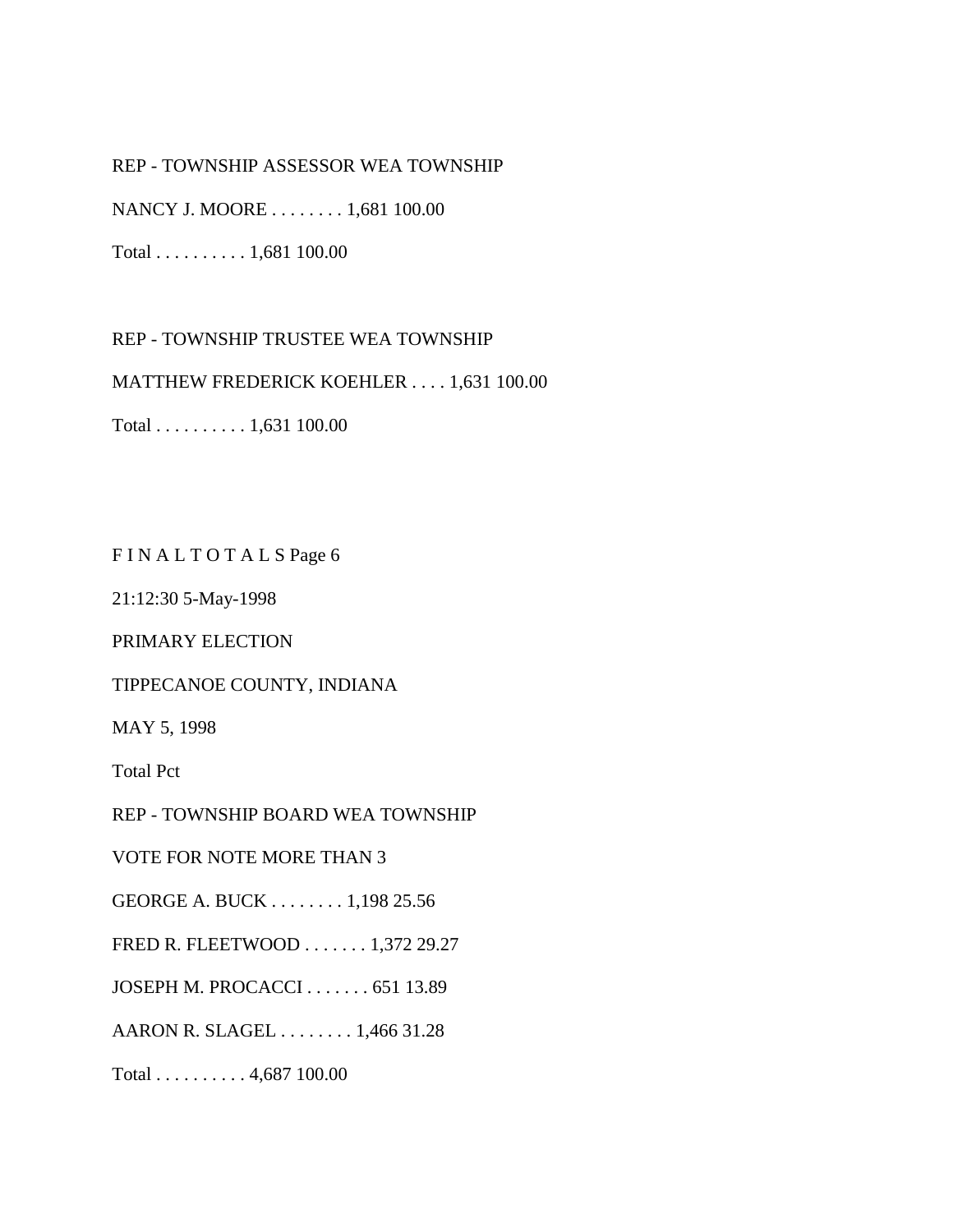### REP - TOWNSHIP ASSESSOR WEA TOWNSHIP

NANCY J. MOORE . . . . . . . . 1,681 100.00

Total . . . . . . . . . . 1,681 100.00

REP - TOWNSHIP TRUSTEE WEA TOWNSHIP

MATTHEW FREDERICK KOEHLER . . . . 1,631 100.00

Total . . . . . . . . . . 1,631 100.00

F I N A L T O T A L S Page 6

21:12:30 5-May-1998

PRIMARY ELECTION

TIPPECANOE COUNTY, INDIANA

MAY 5, 1998

Total Pct

REP - TOWNSHIP BOARD WEA TOWNSHIP

VOTE FOR NOTE MORE THAN 3

GEORGE A. BUCK . . . . . . . . 1,198 25.56

FRED R. FLEETWOOD . . . . . . . 1,372 29.27

JOSEPH M. PROCACCI . . . . . . . 651 13.89

AARON R. SLAGEL . . . . . . . . 1,466 31.28

Total . . . . . . . . . . 4,687 100.00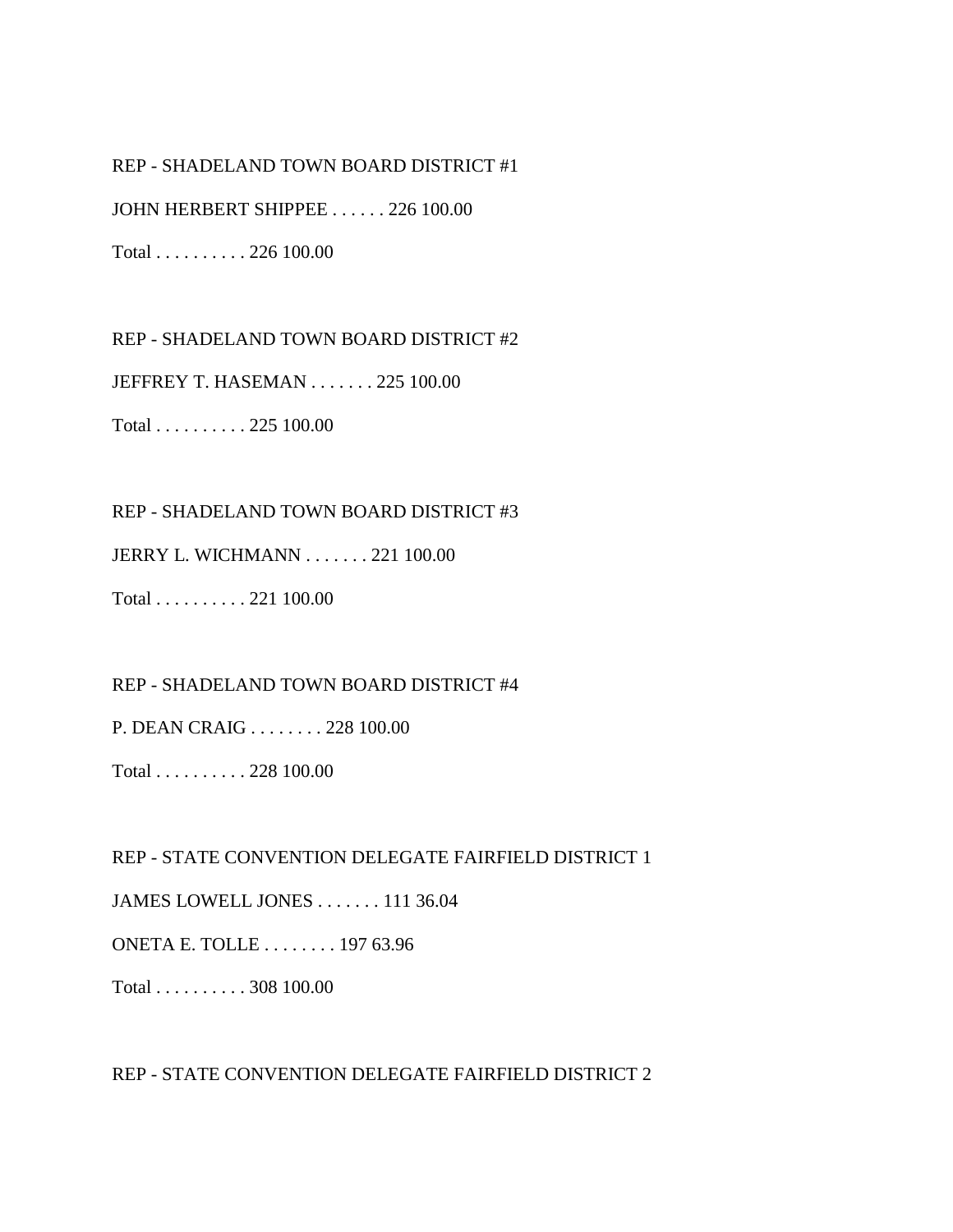#### REP - SHADELAND TOWN BOARD DISTRICT #1

JOHN HERBERT SHIPPEE . . . . . . 226 100.00

Total . . . . . . . . . . 226 100.00

REP - SHADELAND TOWN BOARD DISTRICT #2

JEFFREY T. HASEMAN . . . . . . . 225 100.00

Total . . . . . . . . . . 225 100.00

#### REP - SHADELAND TOWN BOARD DISTRICT #3

JERRY L. WICHMANN . . . . . . . 221 100.00

Total . . . . . . . . . . 221 100.00

REP - SHADELAND TOWN BOARD DISTRICT #4

P. DEAN CRAIG . . . . . . . . 228 100.00

Total . . . . . . . . . . 228 100.00

REP - STATE CONVENTION DELEGATE FAIRFIELD DISTRICT 1

JAMES LOWELL JONES . . . . . . . 111 36.04

ONETA E. TOLLE . . . . . . . . 197 63.96

Total . . . . . . . . . . 308 100.00

REP - STATE CONVENTION DELEGATE FAIRFIELD DISTRICT 2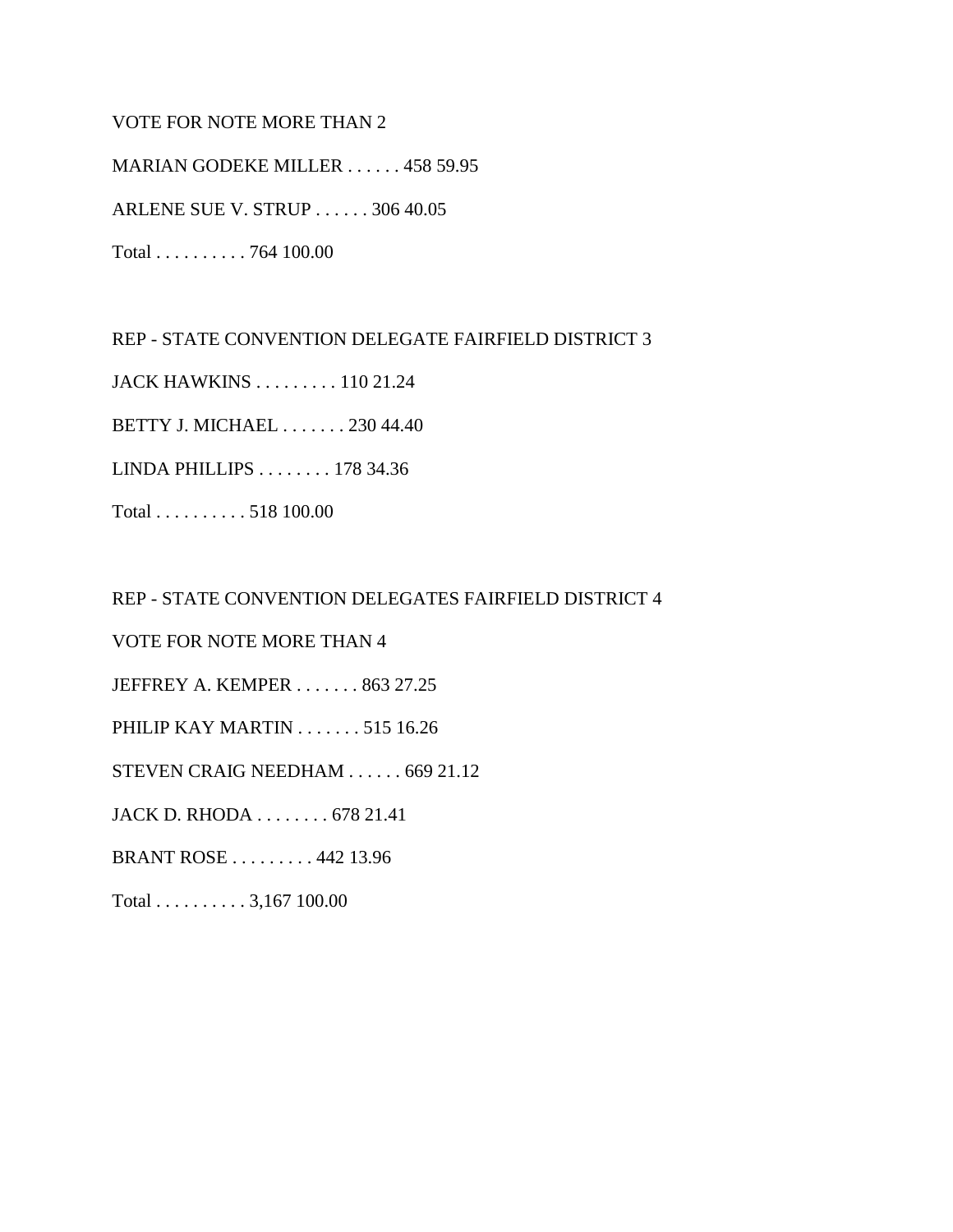### VOTE FOR NOTE MORE THAN 2

MARIAN GODEKE MILLER . . . . . . 458 59.95 ARLENE SUE V. STRUP . . . . . . 306 40.05

Total . . . . . . . . . . 764 100.00

REP - STATE CONVENTION DELEGATE FAIRFIELD DISTRICT 3

JACK HAWKINS . . . . . . . . . 110 21.24

BETTY J. MICHAEL . . . . . . . 230 44.40

LINDA PHILLIPS . . . . . . . . 178 34.36

Total . . . . . . . . . . 518 100.00

REP - STATE CONVENTION DELEGATES FAIRFIELD DISTRICT 4

VOTE FOR NOTE MORE THAN 4

JEFFREY A. KEMPER . . . . . . . 863 27.25

PHILIP KAY MARTIN . . . . . . . 515 16.26

STEVEN CRAIG NEEDHAM . . . . . . 669 21.12

JACK D. RHODA . . . . . . . . 678 21.41

BRANT ROSE . . . . . . . . . 442 13.96

Total . . . . . . . . . . 3,167 100.00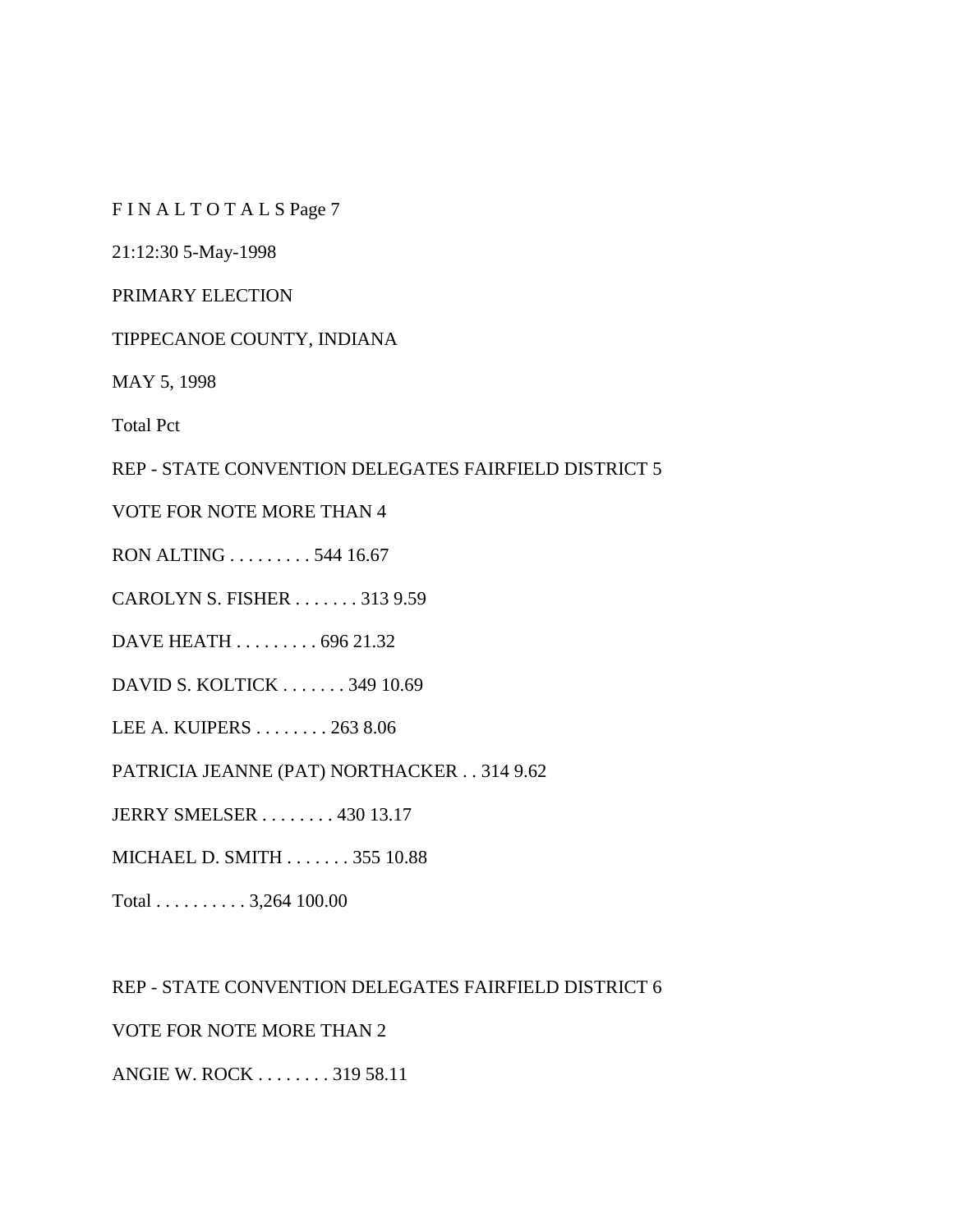F I N A L T O T A L S Page 7

21:12:30 5-May-1998

PRIMARY ELECTION

TIPPECANOE COUNTY, INDIANA

MAY 5, 1998

Total Pct

REP - STATE CONVENTION DELEGATES FAIRFIELD DISTRICT 5

VOTE FOR NOTE MORE THAN 4

RON ALTING . . . . . . . . . 544 16.67

CAROLYN S. FISHER . . . . . . . 313 9.59

DAVE HEATH . . . . . . . . . 696 21.32

DAVID S. KOLTICK . . . . . . . 349 10.69

LEE A. KUIPERS . . . . . . . . 263 8.06

PATRICIA JEANNE (PAT) NORTHACKER . . 314 9.62

JERRY SMELSER . . . . . . . . 430 13.17

MICHAEL D. SMITH . . . . . . . 355 10.88

Total . . . . . . . . . . 3,264 100.00

REP - STATE CONVENTION DELEGATES FAIRFIELD DISTRICT 6 VOTE FOR NOTE MORE THAN 2

ANGIE W. ROCK . . . . . . . . 319 58.11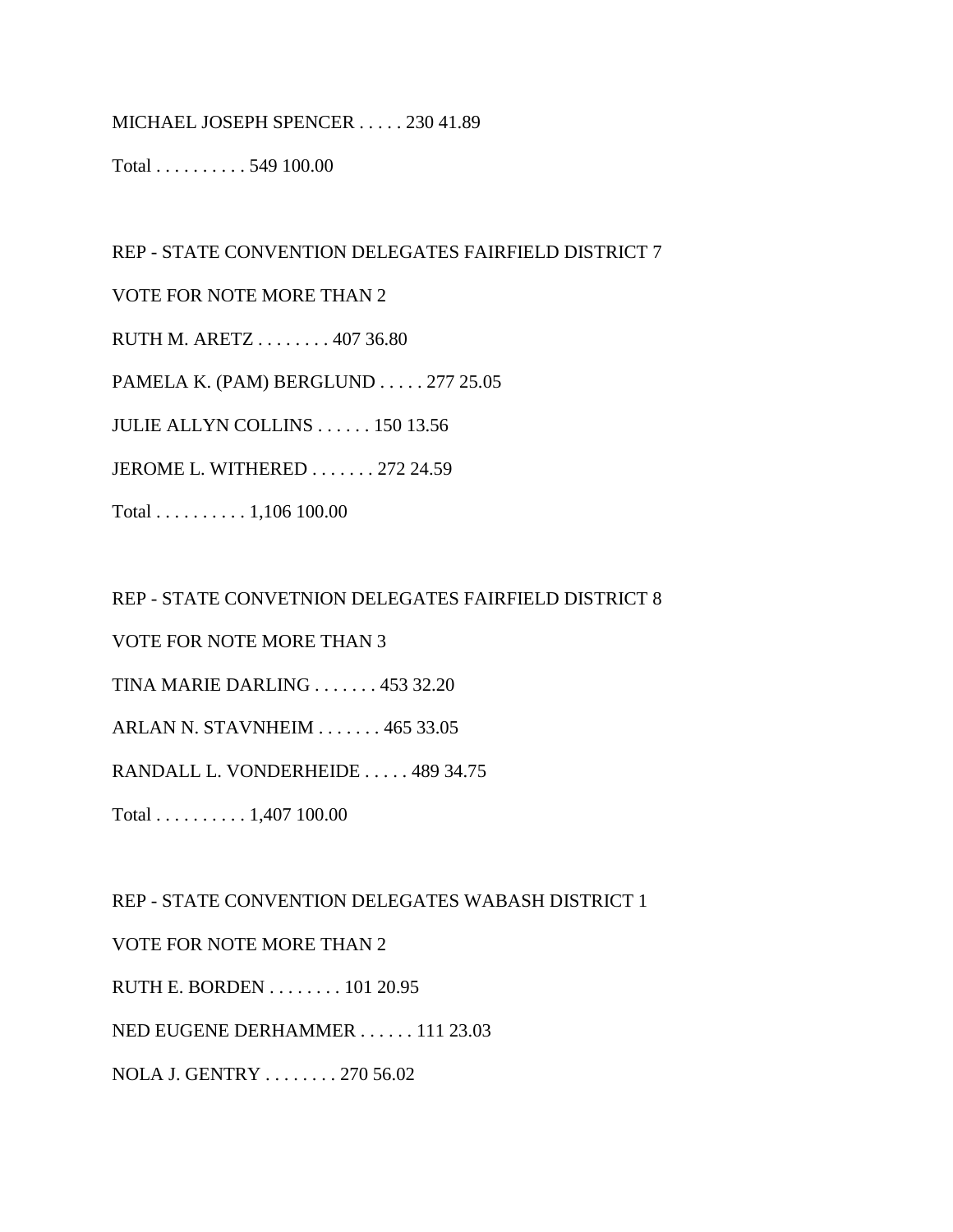MICHAEL JOSEPH SPENCER . . . . . 230 41.89

Total . . . . . . . . . . 549 100.00

REP - STATE CONVENTION DELEGATES FAIRFIELD DISTRICT 7

VOTE FOR NOTE MORE THAN 2

RUTH M. ARETZ . . . . . . . . 407 36.80

PAMELA K. (PAM) BERGLUND . . . . . 277 25.05

JULIE ALLYN COLLINS . . . . . . 150 13.56

JEROME L. WITHERED . . . . . . . 272 24.59

Total . . . . . . . . . . 1,106 100.00

REP - STATE CONVETNION DELEGATES FAIRFIELD DISTRICT 8

VOTE FOR NOTE MORE THAN 3

TINA MARIE DARLING . . . . . . . 453 32.20

ARLAN N. STAVNHEIM . . . . . . . 465 33.05

RANDALL L. VONDERHEIDE . . . . . 489 34.75

Total . . . . . . . . . . 1,407 100.00

REP - STATE CONVENTION DELEGATES WABASH DISTRICT 1

VOTE FOR NOTE MORE THAN 2

RUTH E. BORDEN . . . . . . . . 101 20.95

NED EUGENE DERHAMMER . . . . . . 111 23.03

NOLA J. GENTRY . . . . . . . . 270 56.02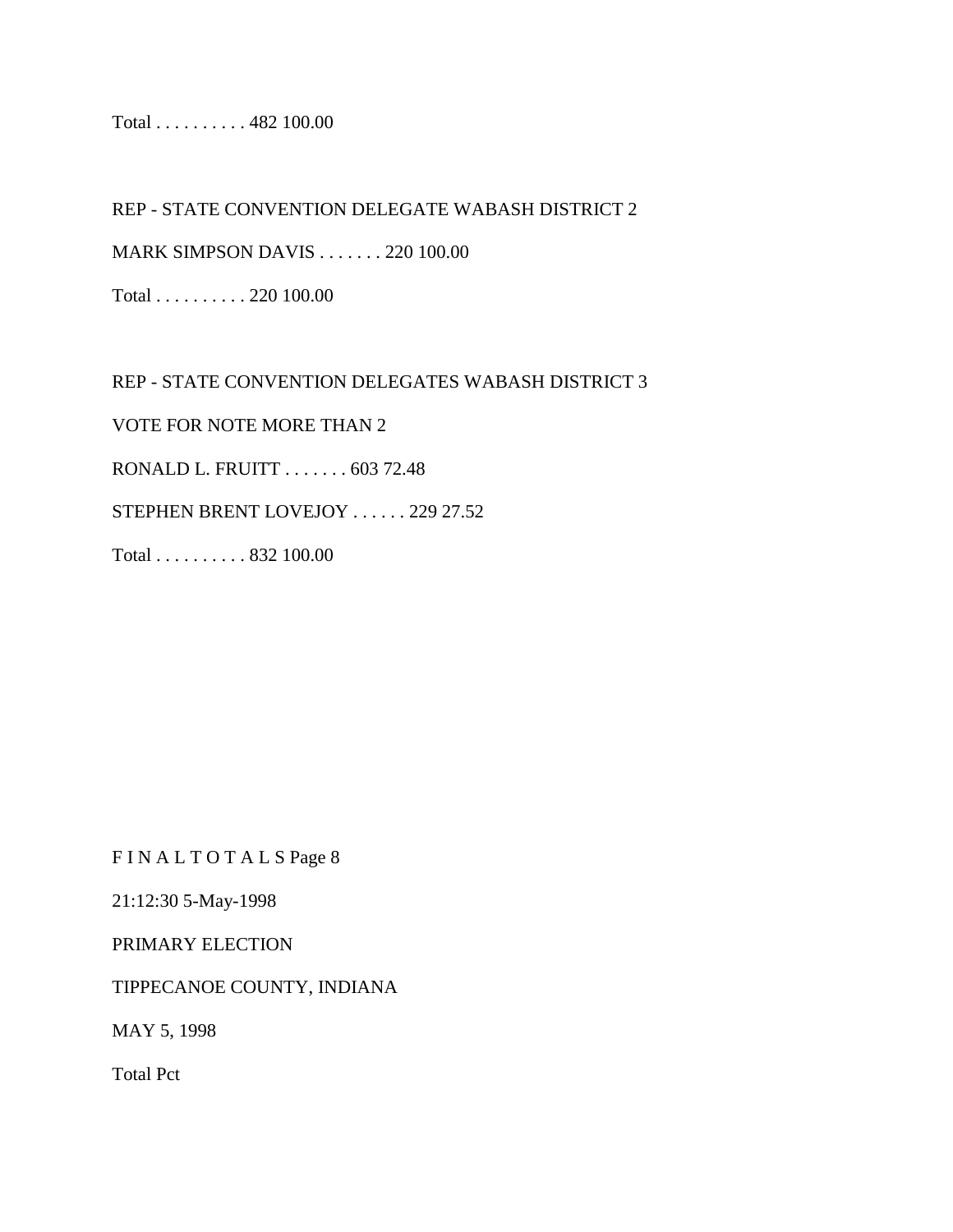Total . . . . . . . . . . 482 100.00

REP - STATE CONVENTION DELEGATE WABASH DISTRICT 2

MARK SIMPSON DAVIS . . . . . . . 220 100.00

Total . . . . . . . . . . 220 100.00

REP - STATE CONVENTION DELEGATES WABASH DISTRICT 3 VOTE FOR NOTE MORE THAN 2 RONALD L. FRUITT . . . . . . . 603 72.48 STEPHEN BRENT LOVEJOY . . . . . . 229 27.52 Total . . . . . . . . . . 832 100.00

F I N A L T O T A L S Page 8

21:12:30 5-May-1998

PRIMARY ELECTION

TIPPECANOE COUNTY, INDIANA

MAY 5, 1998

Total Pct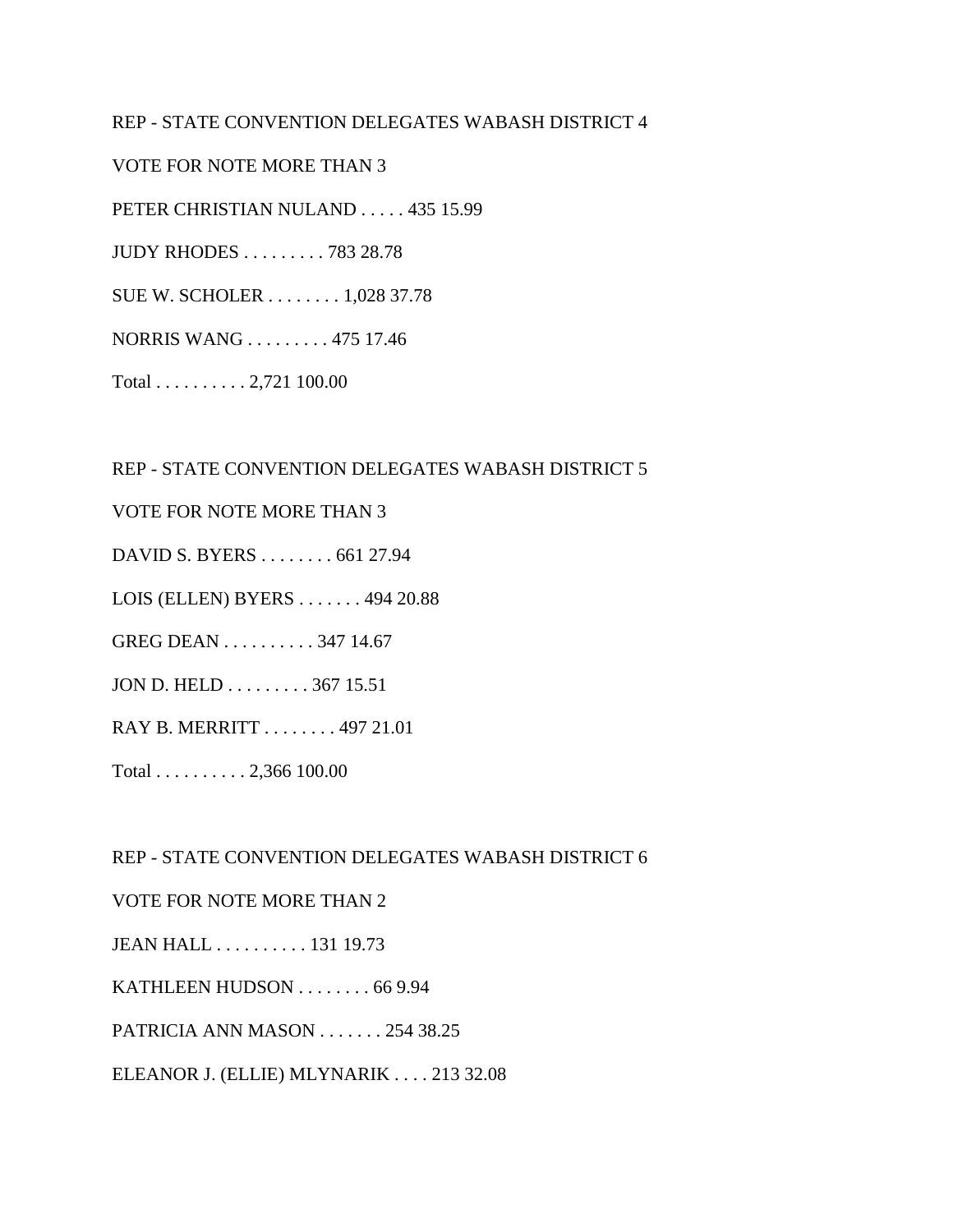### REP - STATE CONVENTION DELEGATES WABASH DISTRICT 4

VOTE FOR NOTE MORE THAN 3

PETER CHRISTIAN NULAND . . . . . 435 15.99

JUDY RHODES . . . . . . . . . 783 28.78

SUE W. SCHOLER . . . . . . . . 1,028 37.78

NORRIS WANG . . . . . . . . . 475 17.46

Total . . . . . . . . . . 2,721 100.00

#### REP - STATE CONVENTION DELEGATES WABASH DISTRICT 5

VOTE FOR NOTE MORE THAN 3

DAVID S. BYERS . . . . . . . . 661 27.94

LOIS (ELLEN) BYERS . . . . . . . 494 20.88

GREG DEAN . . . . . . . . . . 347 14.67

JON D. HELD . . . . . . . . . 367 15.51

RAY B. MERRITT . . . . . . . . 497 21.01

Total . . . . . . . . . . 2,366 100.00

REP - STATE CONVENTION DELEGATES WABASH DISTRICT 6

#### VOTE FOR NOTE MORE THAN 2

JEAN HALL . . . . . . . . . . 131 19.73

KATHLEEN HUDSON . . . . . . . . 66 9.94

PATRICIA ANN MASON . . . . . . . 254 38.25

ELEANOR J. (ELLIE) MLYNARIK . . . . 213 32.08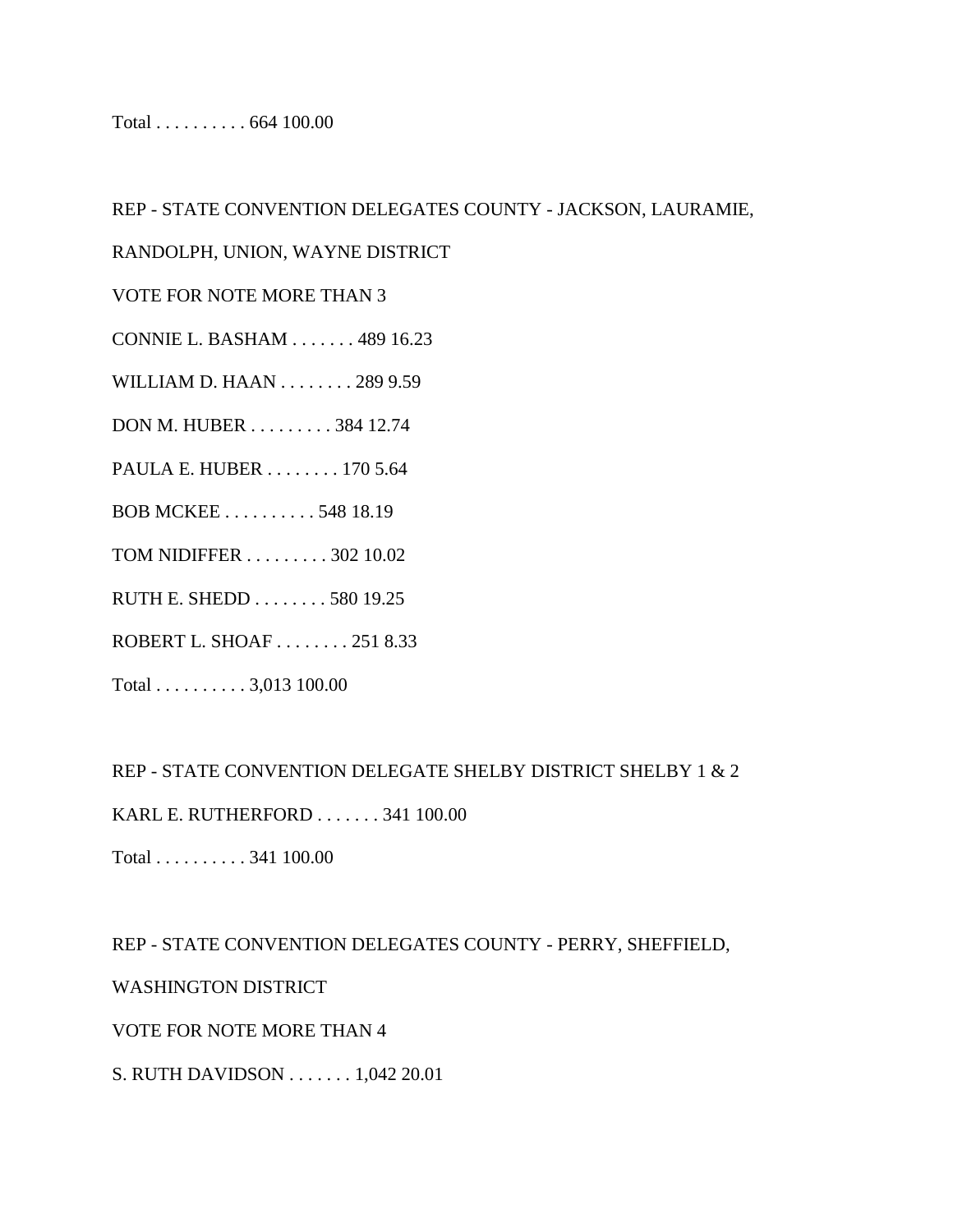Total . . . . . . . . . . 664 100.00

REP - STATE CONVENTION DELEGATES COUNTY - JACKSON, LAURAMIE,

RANDOLPH, UNION, WAYNE DISTRICT

VOTE FOR NOTE MORE THAN 3

CONNIE L. BASHAM . . . . . . . 489 16.23

WILLIAM D. HAAN . . . . . . . . 289 9.59

DON M. HUBER . . . . . . . . . 384 12.74

PAULA E. HUBER . . . . . . . . 170 5.64

BOB MCKEE . . . . . . . . . . 548 18.19

TOM NIDIFFER . . . . . . . . . 302 10.02

RUTH E. SHEDD . . . . . . . . 580 19.25

ROBERT L. SHOAF . . . . . . . . 251 8.33

Total . . . . . . . . . . 3,013 100.00

REP - STATE CONVENTION DELEGATE SHELBY DISTRICT SHELBY 1 & 2

KARL E. RUTHERFORD . . . . . . . 341 100.00

Total . . . . . . . . . . 341 100.00

REP - STATE CONVENTION DELEGATES COUNTY - PERRY, SHEFFIELD,

WASHINGTON DISTRICT

VOTE FOR NOTE MORE THAN 4

S. RUTH DAVIDSON . . . . . . . 1,042 20.01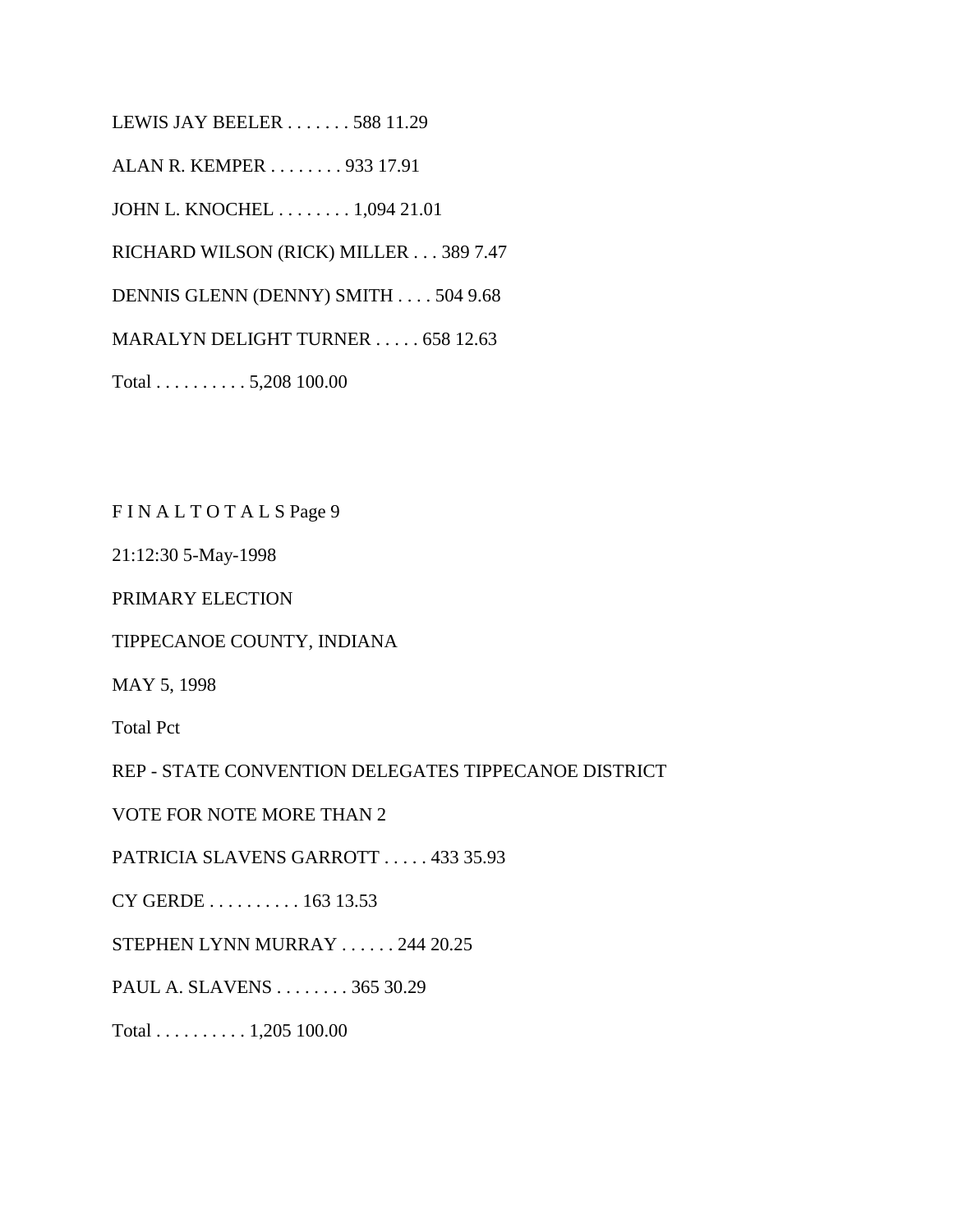LEWIS JAY BEELER . . . . . . . 588 11.29

ALAN R. KEMPER . . . . . . . . 933 17.91

JOHN L. KNOCHEL . . . . . . . . 1,094 21.01

RICHARD WILSON (RICK) MILLER . . . 389 7.47

DENNIS GLENN (DENNY) SMITH . . . . 504 9.68

MARALYN DELIGHT TURNER . . . . . 658 12.63

Total . . . . . . . . . . 5,208 100.00

F I N A L T O T A L S Page 9

21:12:30 5-May-1998

PRIMARY ELECTION

TIPPECANOE COUNTY, INDIANA

MAY 5, 1998

Total Pct

REP - STATE CONVENTION DELEGATES TIPPECANOE DISTRICT

VOTE FOR NOTE MORE THAN 2

PATRICIA SLAVENS GARROTT . . . . . 433 35.93

CY GERDE . . . . . . . . . . 163 13.53

STEPHEN LYNN MURRAY . . . . . . 244 20.25

PAUL A. SLAVENS . . . . . . . . 365 30.29

Total . . . . . . . . . . 1,205 100.00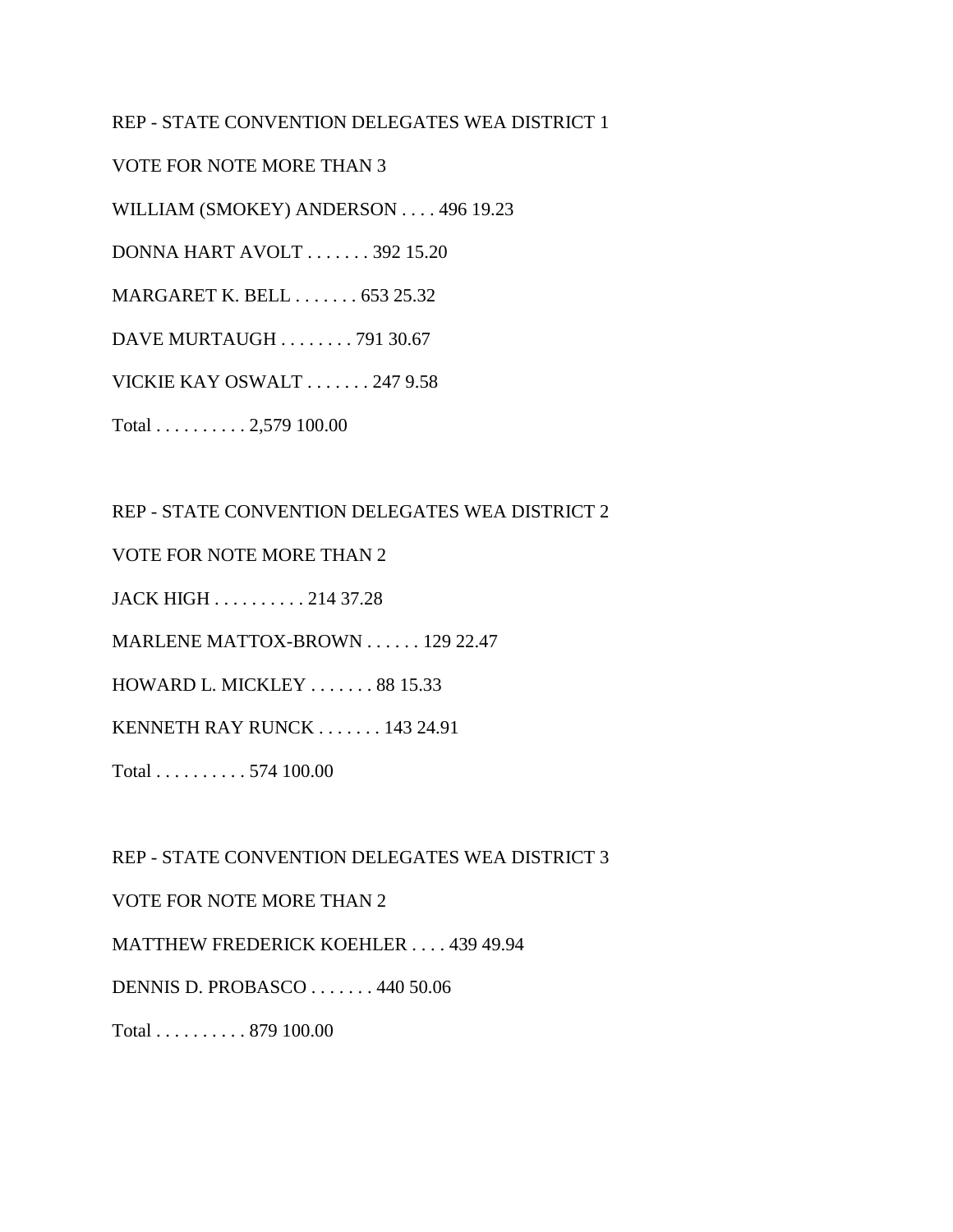### REP - STATE CONVENTION DELEGATES WEA DISTRICT 1

VOTE FOR NOTE MORE THAN 3

WILLIAM (SMOKEY) ANDERSON . . . . 496 19.23

DONNA HART AVOLT . . . . . . . 392 15.20

MARGARET K. BELL . . . . . . . 653 25.32

DAVE MURTAUGH . . . . . . . . 791 30.67

VICKIE KAY OSWALT . . . . . . . 247 9.58

Total . . . . . . . . . . 2,579 100.00

REP - STATE CONVENTION DELEGATES WEA DISTRICT 2

VOTE FOR NOTE MORE THAN 2

JACK HIGH . . . . . . . . . . 214 37.28

MARLENE MATTOX-BROWN . . . . . . 129 22.47

HOWARD L. MICKLEY . . . . . . . 88 15.33

KENNETH RAY RUNCK . . . . . . . 143 24.91

Total . . . . . . . . . . 574 100.00

REP - STATE CONVENTION DELEGATES WEA DISTRICT 3

VOTE FOR NOTE MORE THAN 2

MATTHEW FREDERICK KOEHLER . . . . 439 49.94

DENNIS D. PROBASCO . . . . . . . 440 50.06

Total . . . . . . . . . . 879 100.00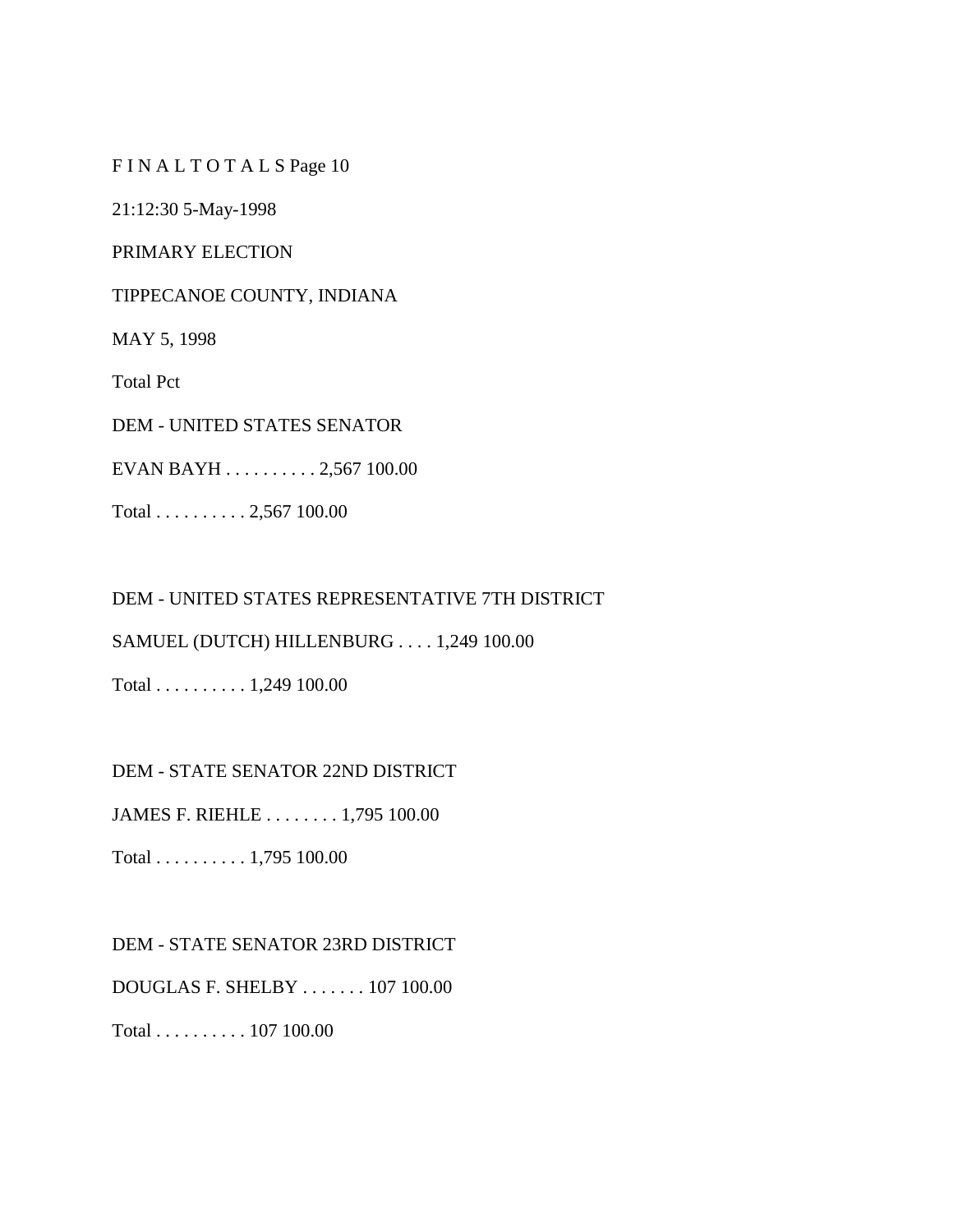F I N A L T O T A L S Page 10

21:12:30 5-May-1998

PRIMARY ELECTION

TIPPECANOE COUNTY, INDIANA

MAY 5, 1998

Total Pct

DEM - UNITED STATES SENATOR

EVAN BAYH . . . . . . . . . . 2,567 100.00

Total . . . . . . . . . . 2,567 100.00

DEM - UNITED STATES REPRESENTATIVE 7TH DISTRICT

SAMUEL (DUTCH) HILLENBURG . . . . 1,249 100.00

Total . . . . . . . . . . 1,249 100.00

DEM - STATE SENATOR 22ND DISTRICT

JAMES F. RIEHLE . . . . . . . . 1,795 100.00

Total . . . . . . . . . . 1,795 100.00

DEM - STATE SENATOR 23RD DISTRICT

DOUGLAS F. SHELBY . . . . . . . 107 100.00

Total . . . . . . . . . . 107 100.00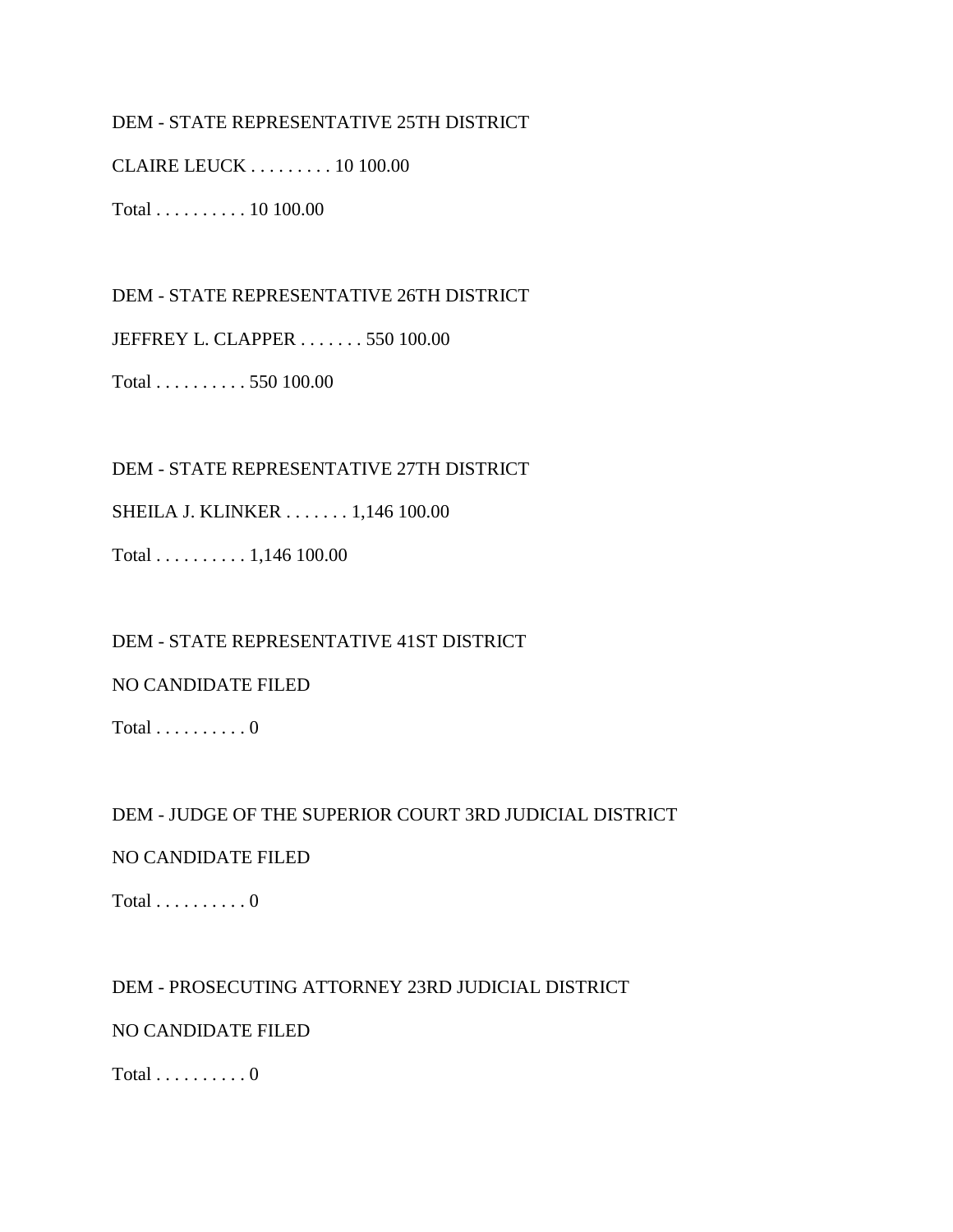### DEM - STATE REPRESENTATIVE 25TH DISTRICT

CLAIRE LEUCK . . . . . . . . . 10 100.00

Total . . . . . . . . . . 10 100.00

DEM - STATE REPRESENTATIVE 26TH DISTRICT

JEFFREY L. CLAPPER . . . . . . . 550 100.00

Total . . . . . . . . . . 550 100.00

DEM - STATE REPRESENTATIVE 27TH DISTRICT

SHEILA J. KLINKER . . . . . . . 1,146 100.00

Total . . . . . . . . . . 1,146 100.00

DEM - STATE REPRESENTATIVE 41ST DISTRICT

### NO CANDIDATE FILED

Total  $\ldots \ldots \ldots 0$ 

### DEM - JUDGE OF THE SUPERIOR COURT 3RD JUDICIAL DISTRICT

### NO CANDIDATE FILED

Total  $\dots \dots \dots 0$ 

DEM - PROSECUTING ATTORNEY 23RD JUDICIAL DISTRICT

NO CANDIDATE FILED

Total  $\ldots \ldots \ldots 0$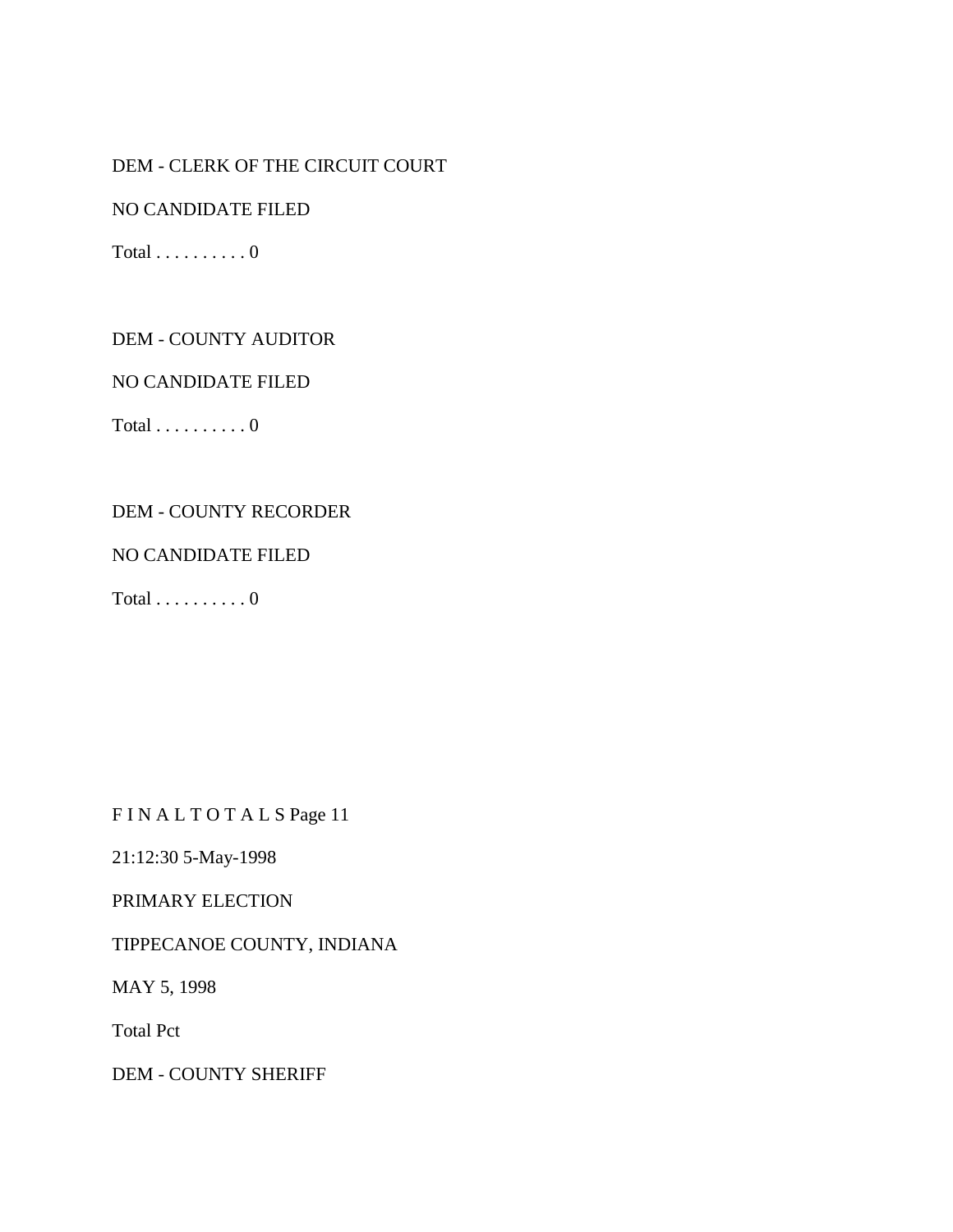# DEM - CLERK OF THE CIRCUIT COURT

NO CANDIDATE FILED

 $Total \ldots \ldots \ldots 0$ 

DEM - COUNTY AUDITOR

NO CANDIDATE FILED

Total  $\dots \dots \dots 0$ 

#### DEM - COUNTY RECORDER

#### NO CANDIDATE FILED

Total  $\ldots \ldots \ldots 0$ 

F I N A L T O T A L S Page 11

21:12:30 5-May-1998

### PRIMARY ELECTION

### TIPPECANOE COUNTY, INDIANA

MAY 5, 1998

Total Pct

DEM - COUNTY SHERIFF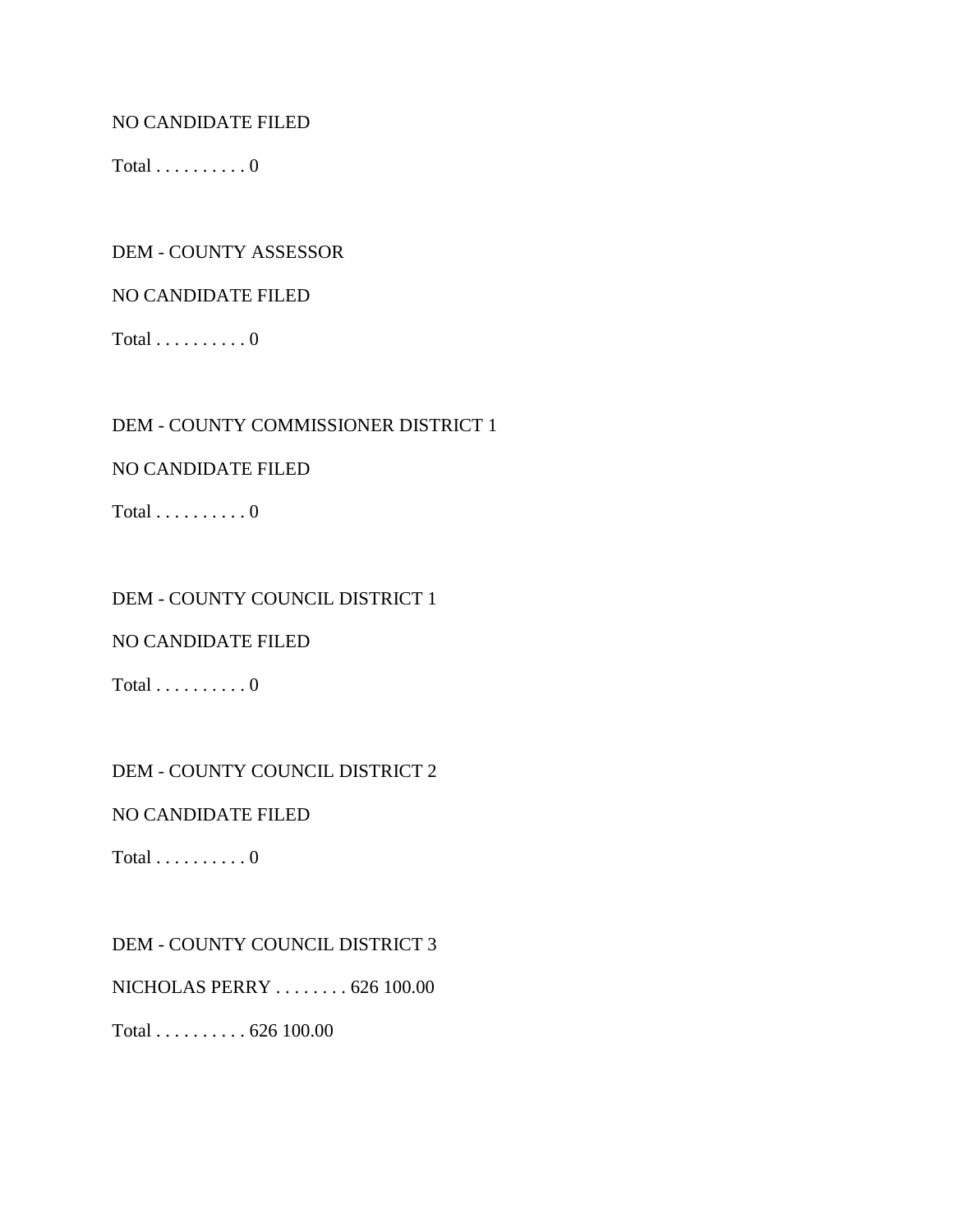### NO CANDIDATE FILED

Total  $\dots \dots \dots 0$ 

### DEM - COUNTY ASSESSOR

### NO CANDIDATE FILED

Total  $\dots \dots \dots 0$ 

### DEM - COUNTY COMMISSIONER DISTRICT 1

### NO CANDIDATE FILED

Total  $\dots \dots \dots 0$ 

### DEM - COUNTY COUNCIL DISTRICT 1

### NO CANDIDATE FILED

Total  $\ldots \ldots \ldots 0$ 

### DEM - COUNTY COUNCIL DISTRICT 2

### NO CANDIDATE FILED

Total  $\dots \dots \dots 0$ 

### DEM - COUNTY COUNCIL DISTRICT 3

NICHOLAS PERRY . . . . . . . . 626 100.00

Total . . . . . . . . . . 626 100.00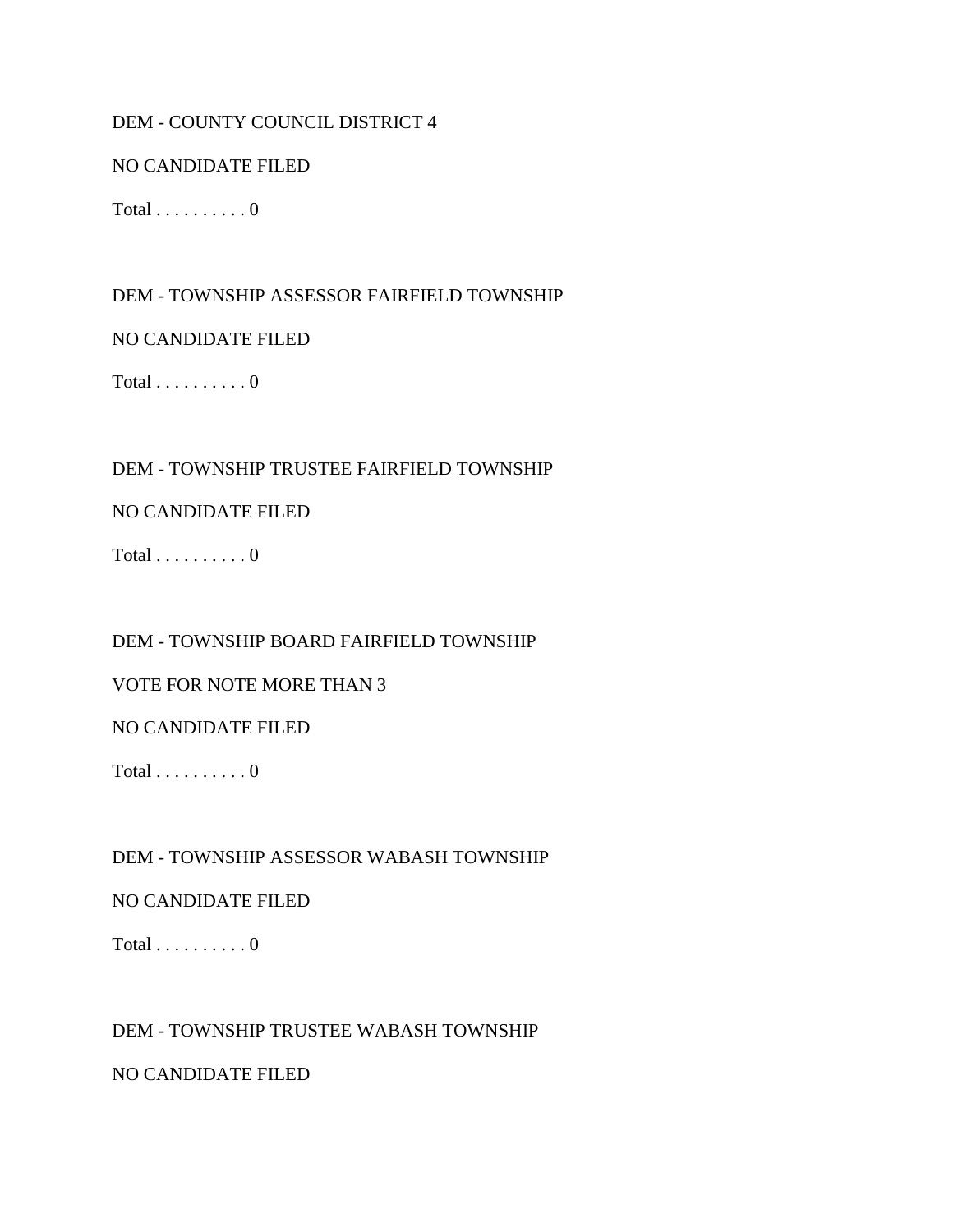### DEM - COUNTY COUNCIL DISTRICT 4

### NO CANDIDATE FILED

Total  $\dots \dots \dots 0$ 

DEM - TOWNSHIP ASSESSOR FAIRFIELD TOWNSHIP

### NO CANDIDATE FILED

Total  $\ldots \ldots \ldots 0$ 

### DEM - TOWNSHIP TRUSTEE FAIRFIELD TOWNSHIP

### NO CANDIDATE FILED

 $Total \ldots \ldots \ldots 0$ 

### DEM - TOWNSHIP BOARD FAIRFIELD TOWNSHIP

### VOTE FOR NOTE MORE THAN 3

### NO CANDIDATE FILED

 $Total \ldots \ldots \ldots 0$ 

DEM - TOWNSHIP ASSESSOR WABASH TOWNSHIP

### NO CANDIDATE FILED

Total  $\dots \dots \dots 0$ 

### DEM - TOWNSHIP TRUSTEE WABASH TOWNSHIP

### NO CANDIDATE FILED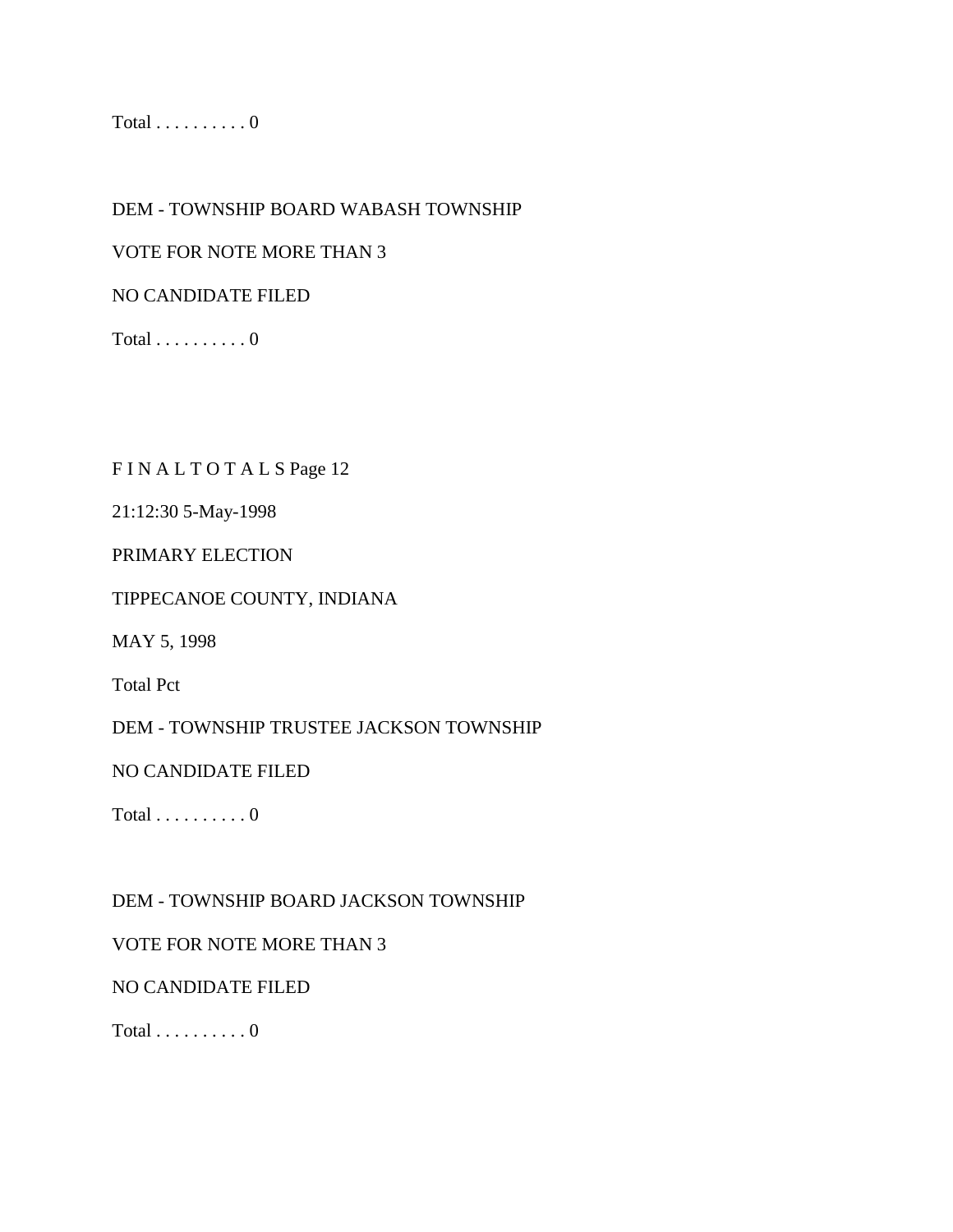Total  $\ldots \ldots \ldots 0$ 

DEM - TOWNSHIP BOARD WABASH TOWNSHIP

VOTE FOR NOTE MORE THAN 3

NO CANDIDATE FILED

Total  $\dots \dots \dots 0$ 

F I N A L T O T A L S Page 12

21:12:30 5-May-1998

PRIMARY ELECTION

TIPPECANOE COUNTY, INDIANA

MAY 5, 1998

Total Pct

DEM - TOWNSHIP TRUSTEE JACKSON TOWNSHIP

NO CANDIDATE FILED

Total  $\dots \dots \dots 0$ 

DEM - TOWNSHIP BOARD JACKSON TOWNSHIP

### VOTE FOR NOTE MORE THAN 3

NO CANDIDATE FILED

Total  $\dots \dots \dots 0$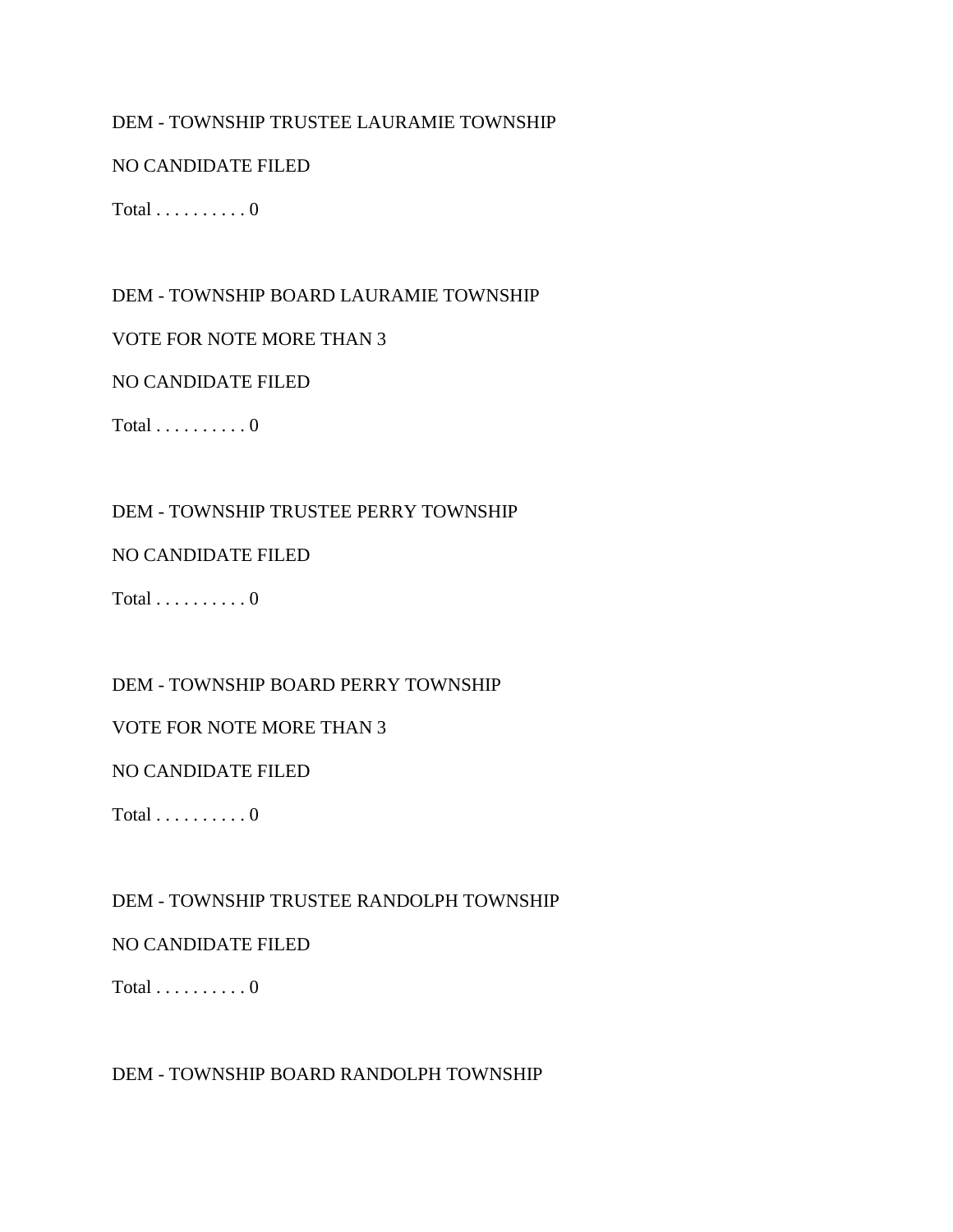### DEM - TOWNSHIP TRUSTEE LAURAMIE TOWNSHIP

### NO CANDIDATE FILED

Total  $\ldots \ldots \ldots 0$ 

### DEM - TOWNSHIP BOARD LAURAMIE TOWNSHIP

#### VOTE FOR NOTE MORE THAN 3

#### NO CANDIDATE FILED

 $Total \ldots \ldots \ldots 0$ 

### DEM - TOWNSHIP TRUSTEE PERRY TOWNSHIP

#### NO CANDIDATE FILED

Total  $\ldots \ldots \ldots 0$ 

#### DEM - TOWNSHIP BOARD PERRY TOWNSHIP

#### VOTE FOR NOTE MORE THAN 3

### NO CANDIDATE FILED

 $Total \ldots \ldots \ldots 0$ 

### DEM - TOWNSHIP TRUSTEE RANDOLPH TOWNSHIP

#### NO CANDIDATE FILED

Total  $\dots \dots \dots 0$ 

#### DEM - TOWNSHIP BOARD RANDOLPH TOWNSHIP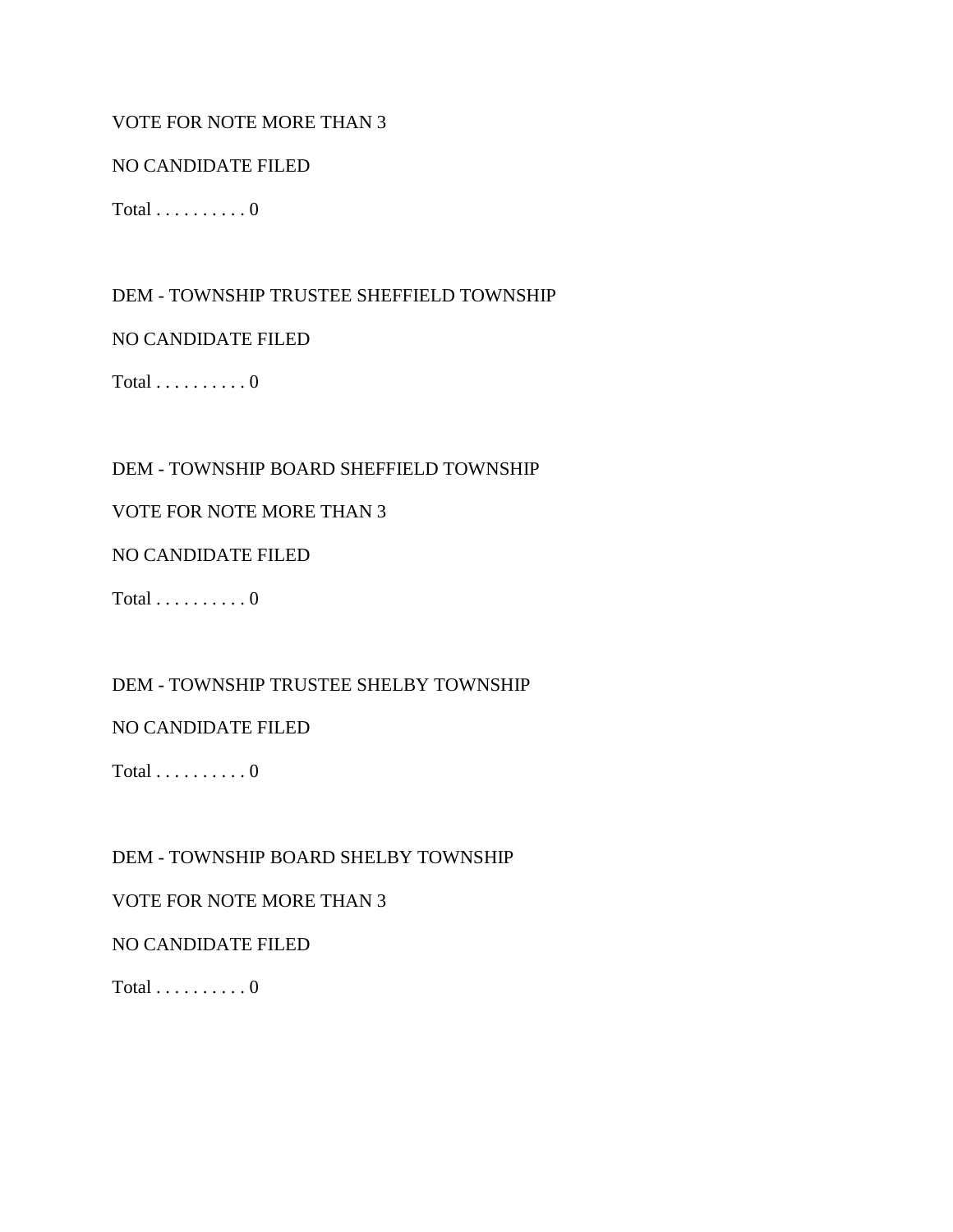### VOTE FOR NOTE MORE THAN 3

### NO CANDIDATE FILED

Total  $\dots \dots \dots 0$ 

DEM - TOWNSHIP TRUSTEE SHEFFIELD TOWNSHIP

NO CANDIDATE FILED

Total  $\ldots \ldots \ldots 0$ 

### DEM - TOWNSHIP BOARD SHEFFIELD TOWNSHIP

### VOTE FOR NOTE MORE THAN 3

NO CANDIDATE FILED

Total  $\dots \dots \dots 0$ 

DEM - TOWNSHIP TRUSTEE SHELBY TOWNSHIP

### NO CANDIDATE FILED

 $Total \ldots \ldots \ldots 0$ 

DEM - TOWNSHIP BOARD SHELBY TOWNSHIP

### VOTE FOR NOTE MORE THAN 3

### NO CANDIDATE FILED

Total  $\dots \dots \dots 0$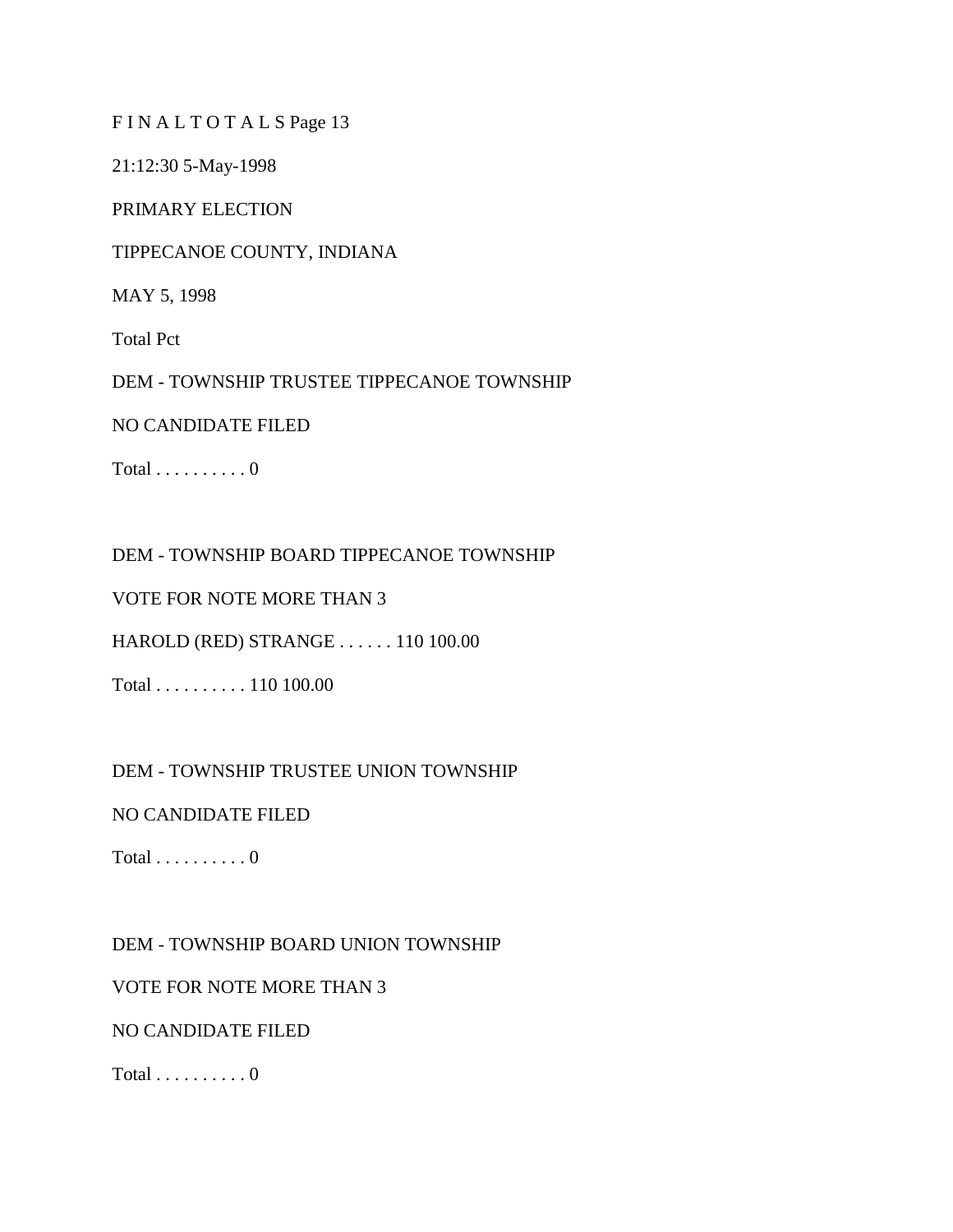FIN ALTOTAL SPage 13

21:12:30 5-May-1998

PRIMARY ELECTION

TIPPECANOE COUNTY, INDIANA

MAY 5, 1998

Total Pct

DEM - TOWNSHIP TRUSTEE TIPPECANOE TOWNSHIP

### NO CANDIDATE FILED

Total  $\ldots \ldots \ldots 0$ 

DEM - TOWNSHIP BOARD TIPPECANOE TOWNSHIP

VOTE FOR NOTE MORE THAN 3

HAROLD (RED) STRANGE . . . . . . 110 100.00

Total . . . . . . . . . . 110 100.00

DEM - TOWNSHIP TRUSTEE UNION TOWNSHIP

NO CANDIDATE FILED

Total  $\ldots \ldots \ldots 0$ 

DEM - TOWNSHIP BOARD UNION TOWNSHIP

VOTE FOR NOTE MORE THAN 3

NO CANDIDATE FILED

Total  $\ldots \ldots \ldots 0$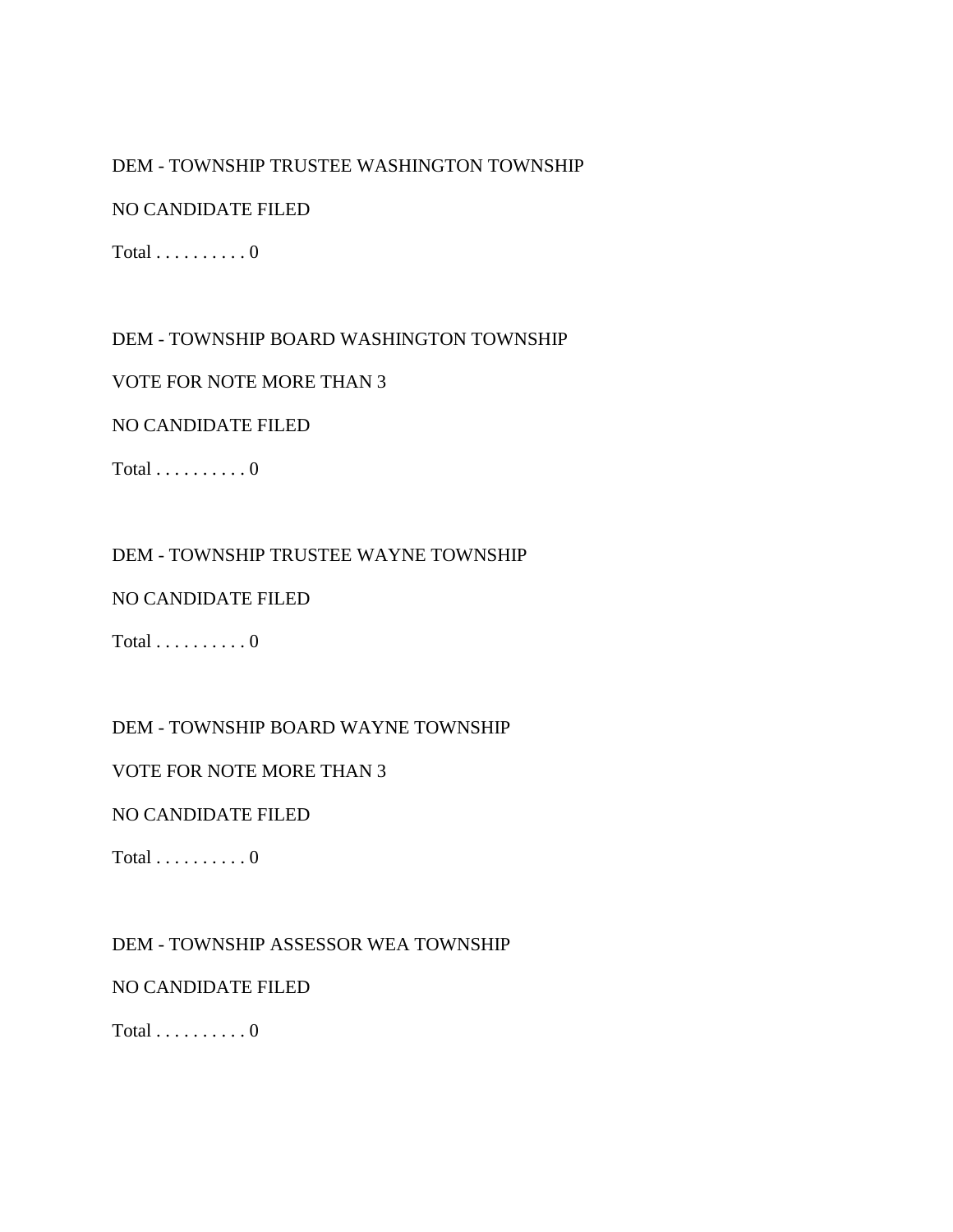# DEM - TOWNSHIP TRUSTEE WASHINGTON TOWNSHIP

### NO CANDIDATE FILED

 $Total \ldots \ldots \ldots 0$ 

# DEM - TOWNSHIP BOARD WASHINGTON TOWNSHIP

# VOTE FOR NOTE MORE THAN 3

# NO CANDIDATE FILED

Total  $\ldots \ldots \ldots 0$ 

# DEM - TOWNSHIP TRUSTEE WAYNE TOWNSHIP

### NO CANDIDATE FILED

Total  $\dots \dots \dots 0$ 

# DEM - TOWNSHIP BOARD WAYNE TOWNSHIP

### VOTE FOR NOTE MORE THAN 3

### NO CANDIDATE FILED

Total  $\ldots \ldots \ldots 0$ 

# DEM - TOWNSHIP ASSESSOR WEA TOWNSHIP

### NO CANDIDATE FILED

Total  $\dots \dots \dots 0$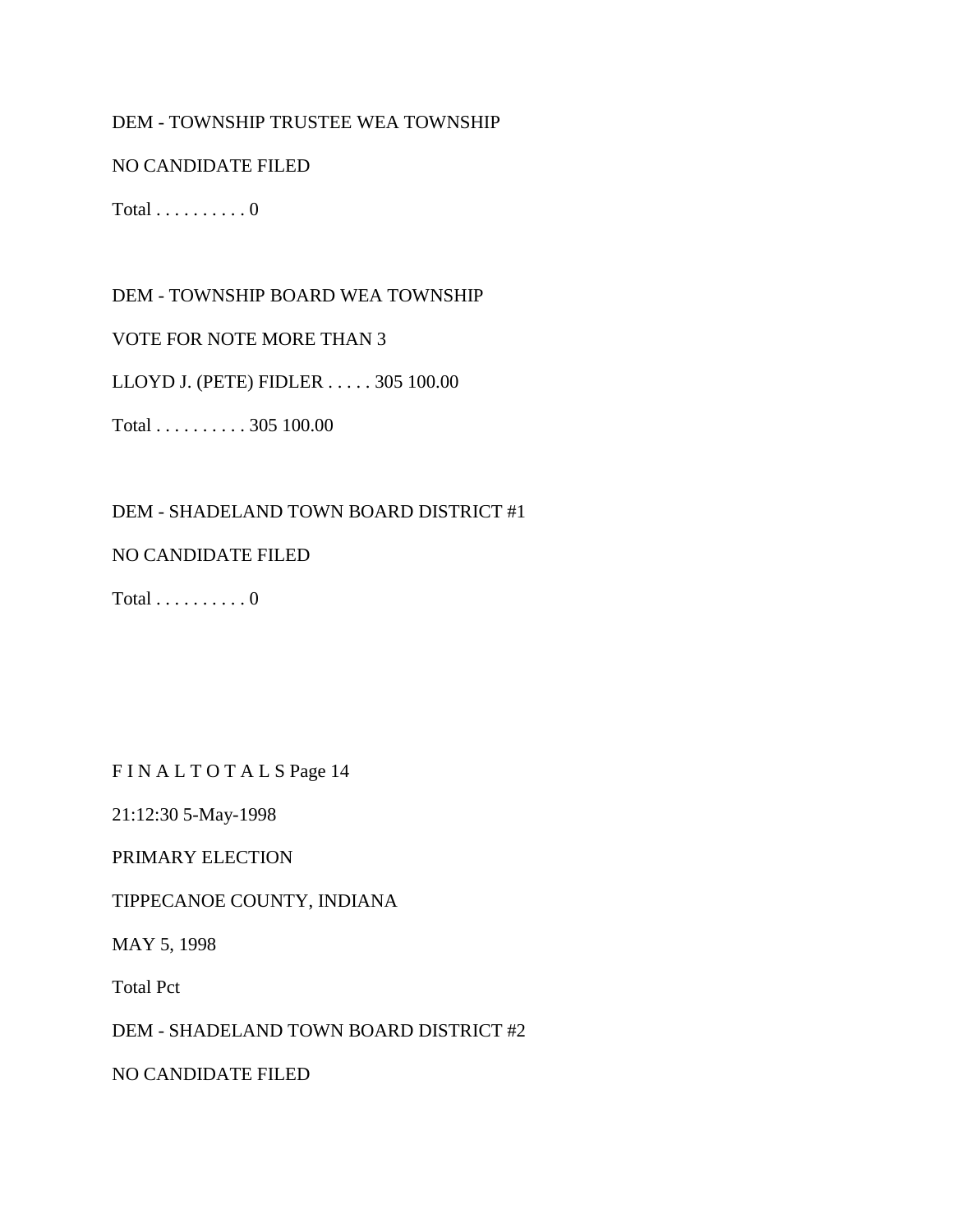### DEM - TOWNSHIP TRUSTEE WEA TOWNSHIP

### NO CANDIDATE FILED

Total  $\dots \dots \dots 0$ 

### DEM - TOWNSHIP BOARD WEA TOWNSHIP

VOTE FOR NOTE MORE THAN 3

LLOYD J. (PETE) FIDLER . . . . . 305 100.00

Total . . . . . . . . . . 305 100.00

### DEM - SHADELAND TOWN BOARD DISTRICT #1

#### NO CANDIDATE FILED

Total  $\ldots \ldots \ldots 0$ 

FIN ALTOTALS Page 14

21:12:30 5-May-1998

### PRIMARY ELECTION

TIPPECANOE COUNTY, INDIANA

MAY 5, 1998

Total Pct

DEM - SHADELAND TOWN BOARD DISTRICT #2

NO CANDIDATE FILED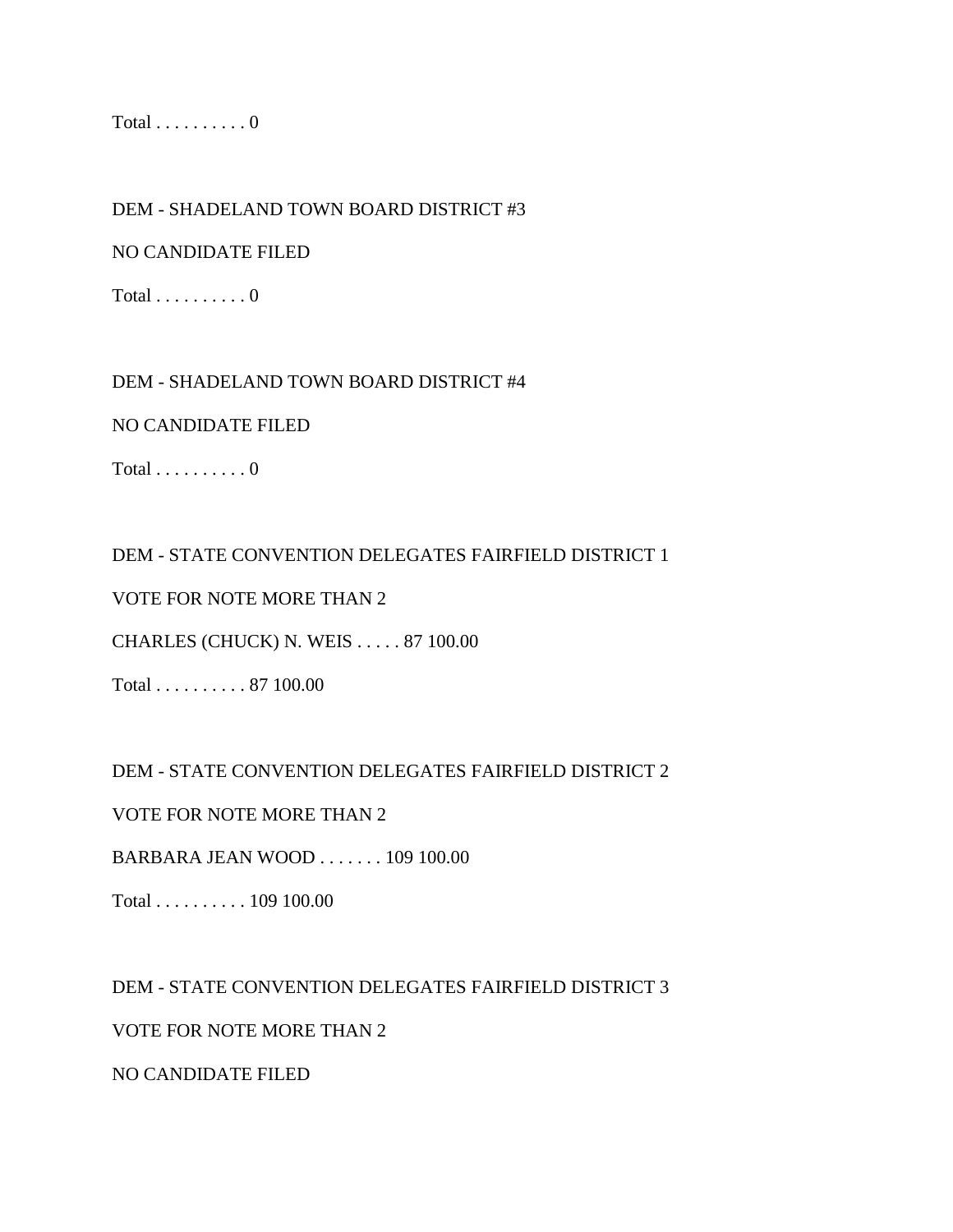Total  $\ldots \ldots \ldots 0$ 

DEM - SHADELAND TOWN BOARD DISTRICT #3

NO CANDIDATE FILED

Total  $\dots\dots\dots0$ 

### DEM - SHADELAND TOWN BOARD DISTRICT #4

NO CANDIDATE FILED

Total  $\ldots \ldots \ldots 0$ 

DEM - STATE CONVENTION DELEGATES FAIRFIELD DISTRICT 1

VOTE FOR NOTE MORE THAN 2

CHARLES (CHUCK) N. WEIS . . . . . 87 100.00

Total . . . . . . . . . . 87 100.00

DEM - STATE CONVENTION DELEGATES FAIRFIELD DISTRICT 2

VOTE FOR NOTE MORE THAN 2

BARBARA JEAN WOOD . . . . . . . 109 100.00

Total . . . . . . . . . . 109 100.00

DEM - STATE CONVENTION DELEGATES FAIRFIELD DISTRICT 3 VOTE FOR NOTE MORE THAN 2

NO CANDIDATE FILED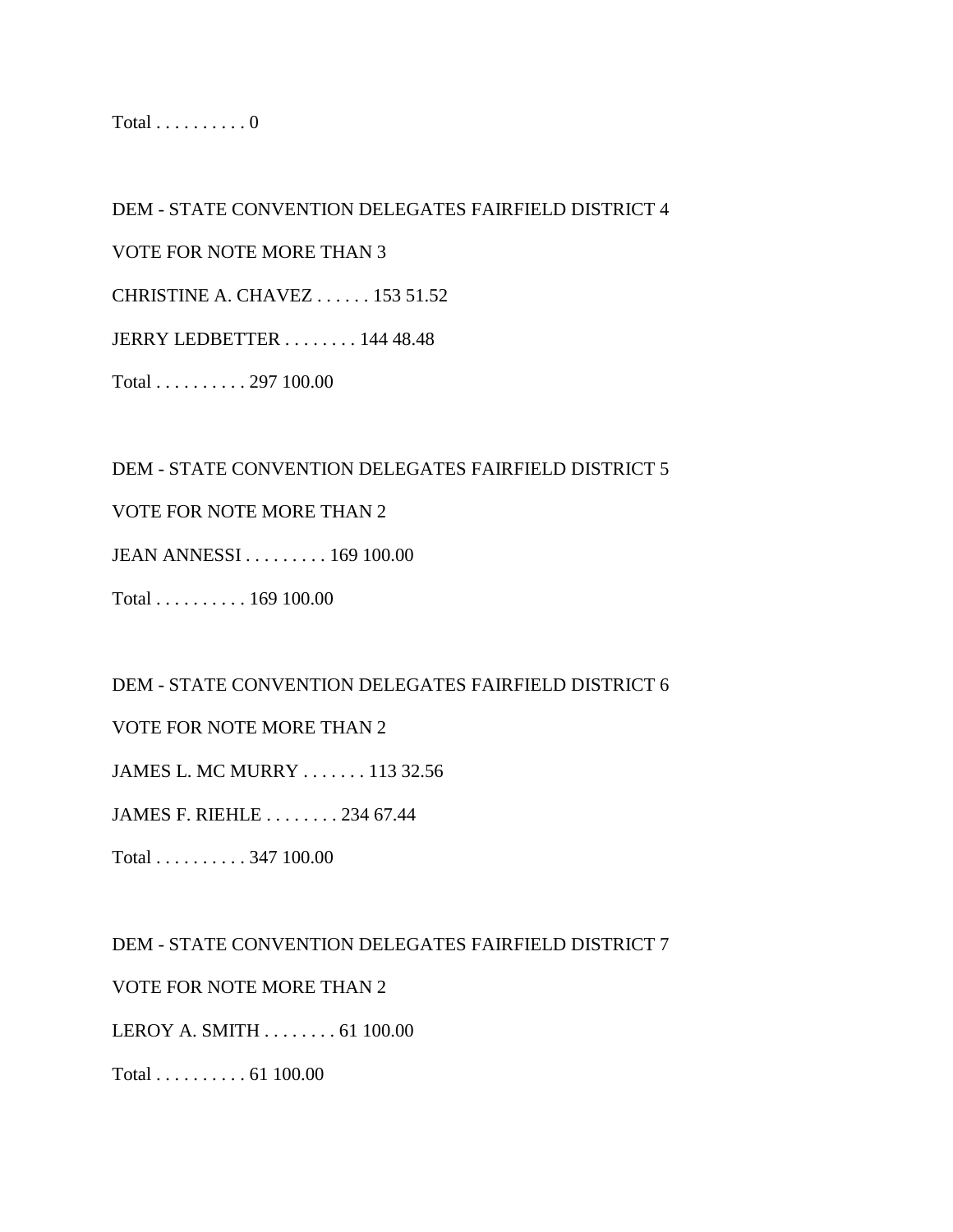Total  $\ldots \ldots \ldots 0$ 

DEM - STATE CONVENTION DELEGATES FAIRFIELD DISTRICT 4 VOTE FOR NOTE MORE THAN 3 CHRISTINE A. CHAVEZ . . . . . . 153 51.52 JERRY LEDBETTER . . . . . . . . 144 48.48

Total . . . . . . . . . . 297 100.00

DEM - STATE CONVENTION DELEGATES FAIRFIELD DISTRICT 5

### VOTE FOR NOTE MORE THAN 2

JEAN ANNESSI . . . . . . . . . 169 100.00

Total . . . . . . . . . . 169 100.00

DEM - STATE CONVENTION DELEGATES FAIRFIELD DISTRICT 6

VOTE FOR NOTE MORE THAN 2

JAMES L. MC MURRY . . . . . . . 113 32.56

JAMES F. RIEHLE . . . . . . . . 234 67.44

Total . . . . . . . . . . 347 100.00

DEM - STATE CONVENTION DELEGATES FAIRFIELD DISTRICT 7

VOTE FOR NOTE MORE THAN 2

LEROY A. SMITH . . . . . . . . 61 100.00

Total . . . . . . . . . . 61 100.00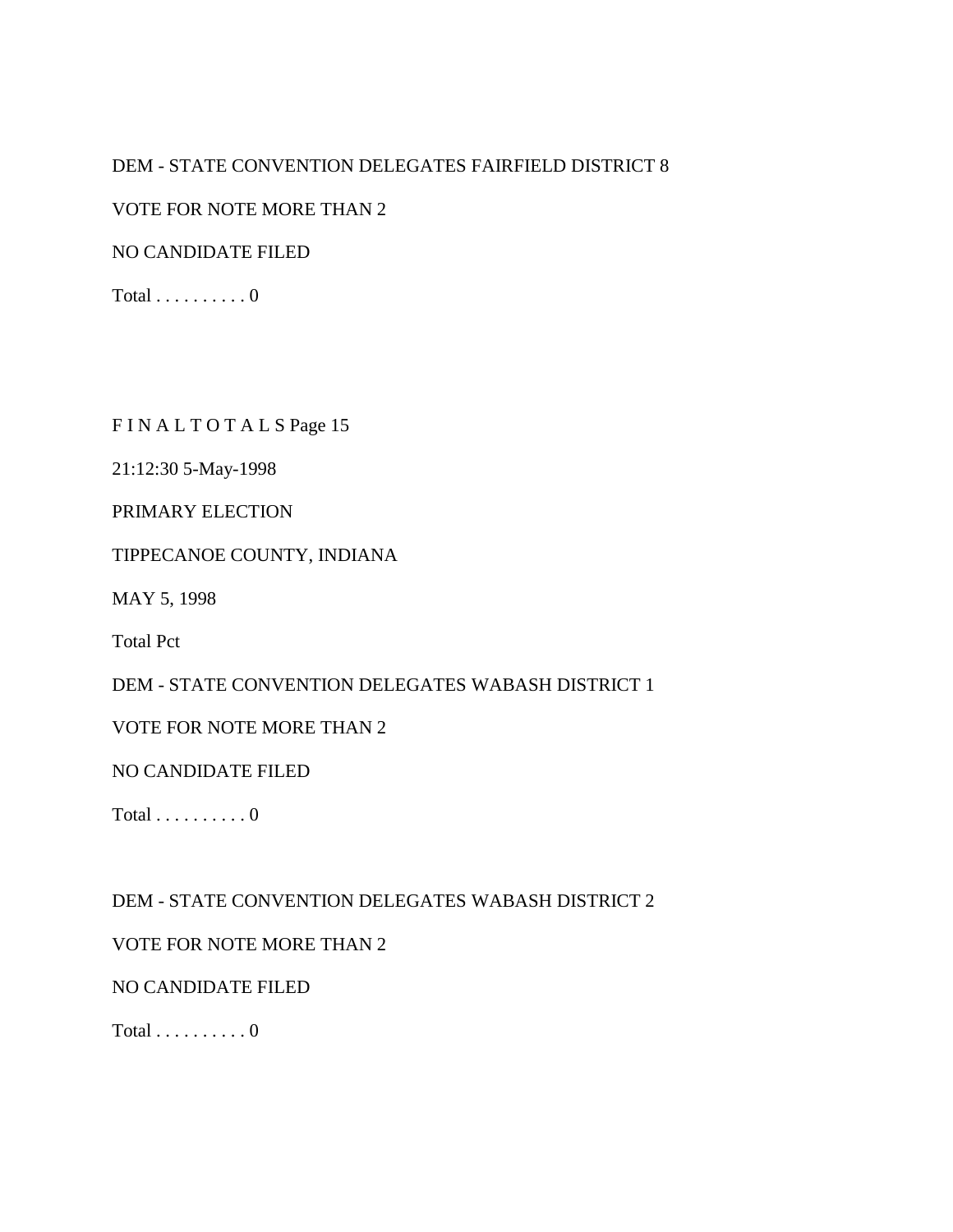# DEM - STATE CONVENTION DELEGATES FAIRFIELD DISTRICT 8

### VOTE FOR NOTE MORE THAN 2

NO CANDIDATE FILED

Total  $\dots \dots \dots 0$ 

### FINALTOTALSPage 15

21:12:30 5-May-1998

### PRIMARY ELECTION

#### TIPPECANOE COUNTY, INDIANA

MAY 5, 1998

Total Pct

DEM - STATE CONVENTION DELEGATES WABASH DISTRICT 1

VOTE FOR NOTE MORE THAN 2

NO CANDIDATE FILED

Total  $\dots \dots \dots 0$ 

DEM - STATE CONVENTION DELEGATES WABASH DISTRICT 2

### VOTE FOR NOTE MORE THAN 2

#### NO CANDIDATE FILED

Total  $\dots \dots \dots 0$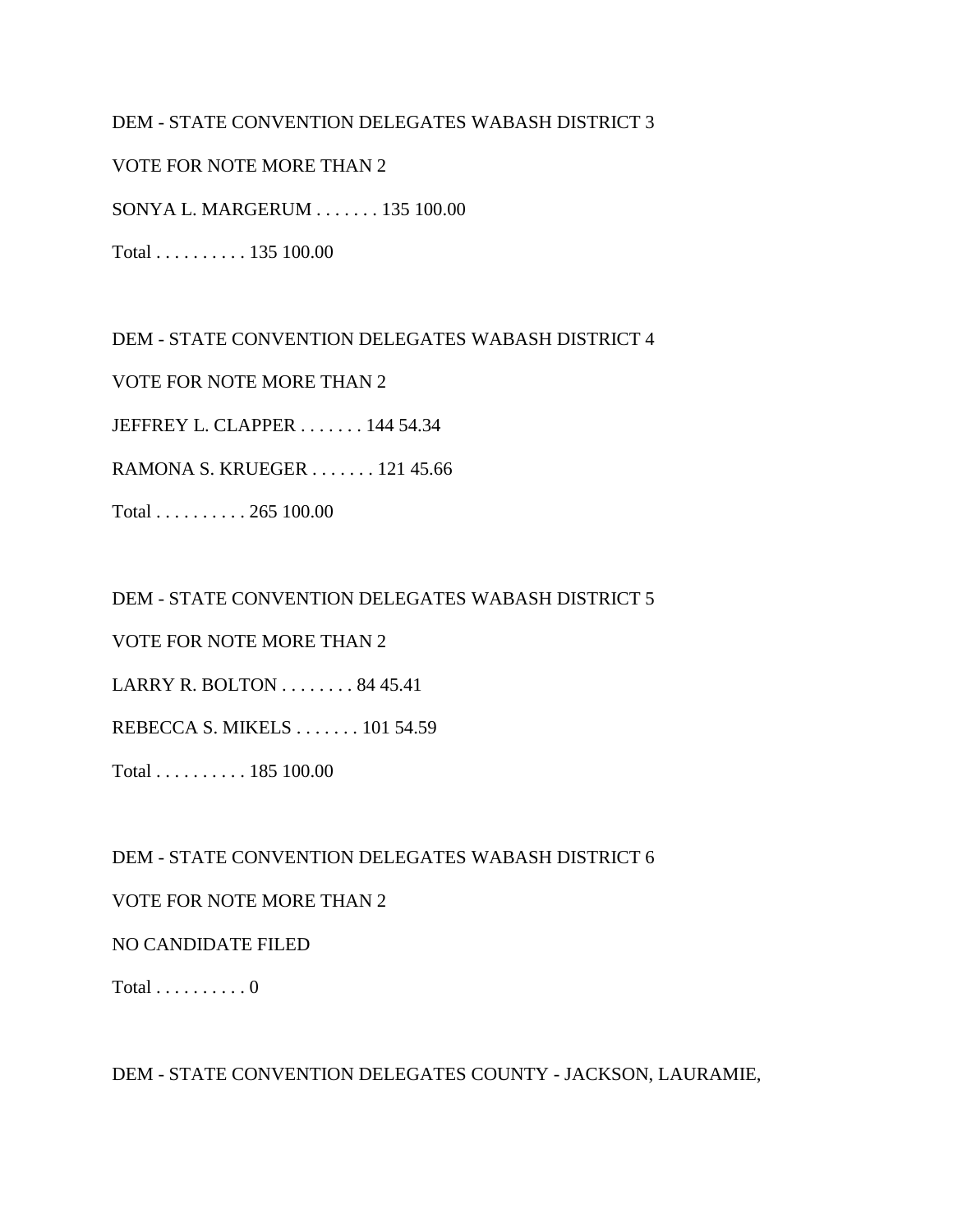### DEM - STATE CONVENTION DELEGATES WABASH DISTRICT 3

VOTE FOR NOTE MORE THAN 2

SONYA L. MARGERUM . . . . . . . 135 100.00

Total . . . . . . . . . . 135 100.00

DEM - STATE CONVENTION DELEGATES WABASH DISTRICT 4

VOTE FOR NOTE MORE THAN 2

JEFFREY L. CLAPPER . . . . . . . 144 54.34

RAMONA S. KRUEGER . . . . . . . 121 45.66

Total . . . . . . . . . . 265 100.00

DEM - STATE CONVENTION DELEGATES WABASH DISTRICT 5

VOTE FOR NOTE MORE THAN 2

LARRY R. BOLTON . . . . . . . . 84 45.41

REBECCA S. MIKELS . . . . . . . 101 54.59

Total . . . . . . . . . . 185 100.00

DEM - STATE CONVENTION DELEGATES WABASH DISTRICT 6

### VOTE FOR NOTE MORE THAN 2

#### NO CANDIDATE FILED

Total  $\ldots \ldots \ldots 0$ 

DEM - STATE CONVENTION DELEGATES COUNTY - JACKSON, LAURAMIE,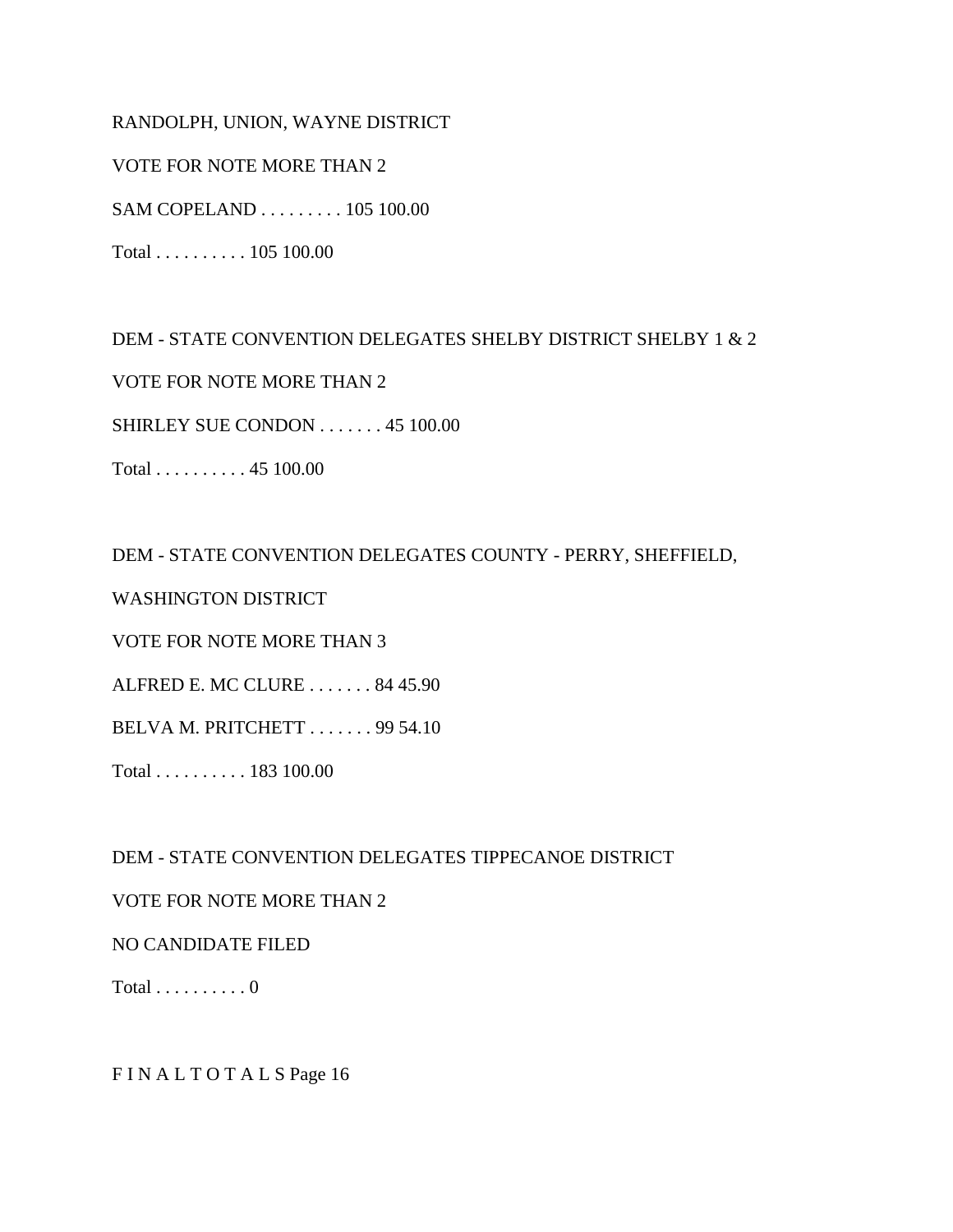RANDOLPH, UNION, WAYNE DISTRICT

VOTE FOR NOTE MORE THAN 2

SAM COPELAND . . . . . . . . . 105 100.00

Total . . . . . . . . . . 105 100.00

DEM - STATE CONVENTION DELEGATES SHELBY DISTRICT SHELBY 1 & 2

VOTE FOR NOTE MORE THAN 2

SHIRLEY SUE CONDON . . . . . . . 45 100.00

Total . . . . . . . . . . 45 100.00

DEM - STATE CONVENTION DELEGATES COUNTY - PERRY, SHEFFIELD,

WASHINGTON DISTRICT

VOTE FOR NOTE MORE THAN 3

ALFRED E. MC CLURE . . . . . . . 84 45.90

BELVA M. PRITCHETT . . . . . . . 99 54.10

Total . . . . . . . . . . 183 100.00

DEM - STATE CONVENTION DELEGATES TIPPECANOE DISTRICT

VOTE FOR NOTE MORE THAN 2

#### NO CANDIDATE FILED

Total  $\ldots \ldots \ldots 0$ 

F I N A L T O T A L S Page 16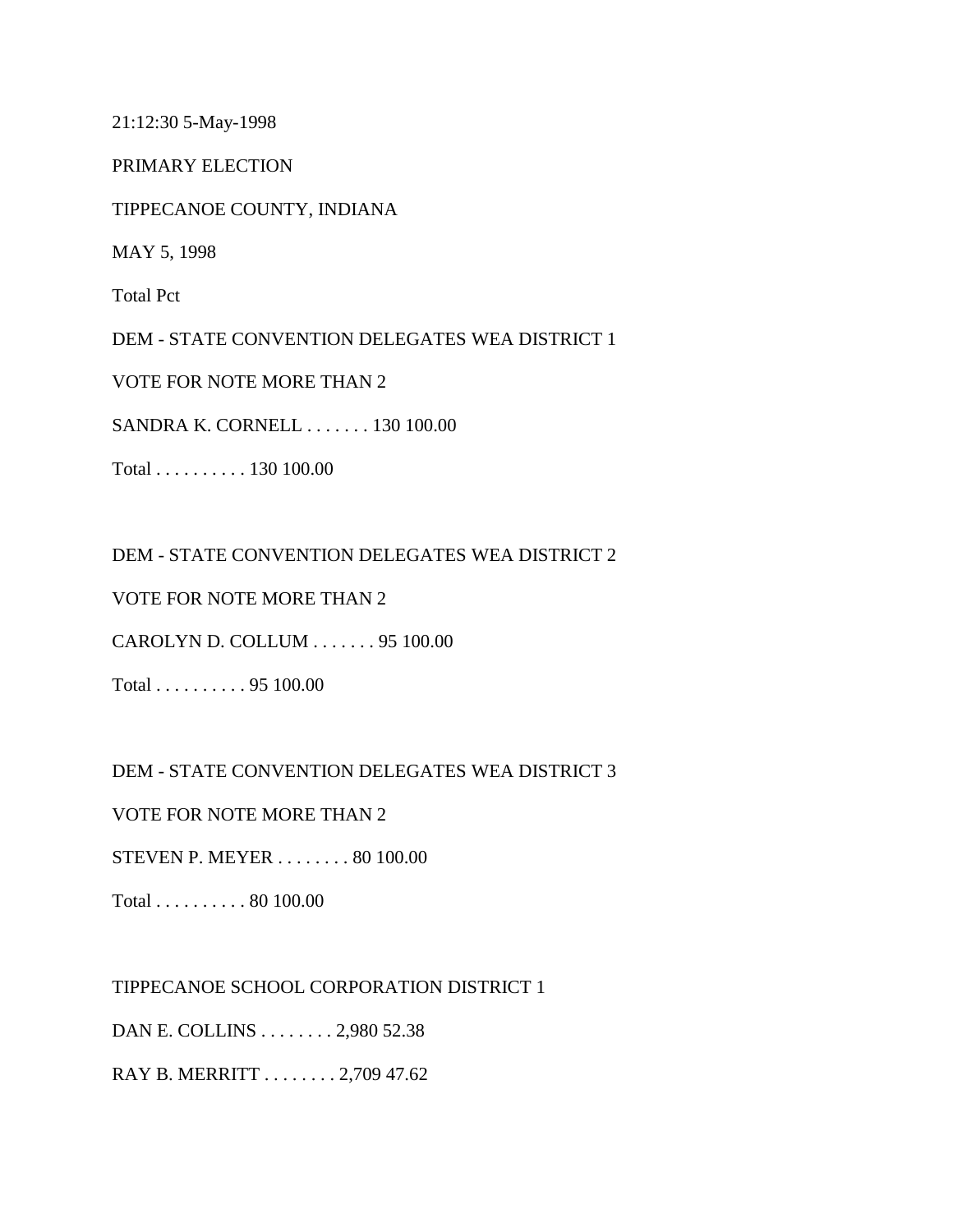21:12:30 5-May-1998

PRIMARY ELECTION

TIPPECANOE COUNTY, INDIANA

MAY 5, 1998

Total Pct

DEM - STATE CONVENTION DELEGATES WEA DISTRICT 1

VOTE FOR NOTE MORE THAN 2

SANDRA K. CORNELL . . . . . . . 130 100.00

Total . . . . . . . . . . 130 100.00

DEM - STATE CONVENTION DELEGATES WEA DISTRICT 2

VOTE FOR NOTE MORE THAN 2

CAROLYN D. COLLUM . . . . . . . 95 100.00

Total . . . . . . . . . . 95 100.00

DEM - STATE CONVENTION DELEGATES WEA DISTRICT 3

VOTE FOR NOTE MORE THAN 2

STEVEN P. MEYER . . . . . . . . 80 100.00

Total . . . . . . . . . . 80 100.00

TIPPECANOE SCHOOL CORPORATION DISTRICT 1 DAN E. COLLINS . . . . . . . . 2,980 52.38 RAY B. MERRITT . . . . . . . . 2,709 47.62